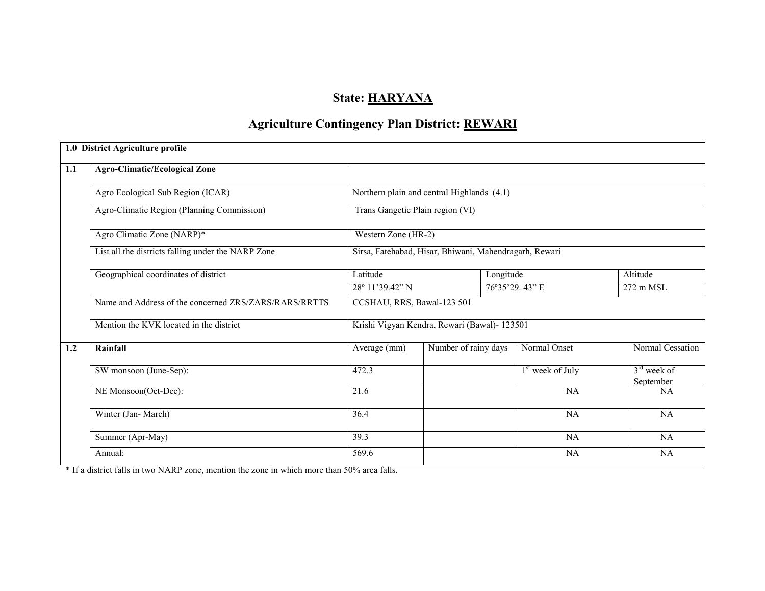## State: HARYANA

## Agriculture Contingency Plan District: <u>REWARI</u>

|     | 1.0 District Agriculture profile                      |                                                        |                                            |                    |                            |  |  |
|-----|-------------------------------------------------------|--------------------------------------------------------|--------------------------------------------|--------------------|----------------------------|--|--|
| 1.1 | <b>Agro-Climatic/Ecological Zone</b>                  |                                                        |                                            |                    |                            |  |  |
|     | Agro Ecological Sub Region (ICAR)                     |                                                        | Northern plain and central Highlands (4.1) |                    |                            |  |  |
|     | Agro-Climatic Region (Planning Commission)            | Trans Gangetic Plain region (VI)                       |                                            |                    |                            |  |  |
|     | Agro Climatic Zone (NARP)*                            | Western Zone (HR-2)                                    |                                            |                    |                            |  |  |
|     | List all the districts falling under the NARP Zone    | Sirsa, Fatehabad, Hisar, Bhiwani, Mahendragarh, Rewari |                                            |                    |                            |  |  |
|     | Geographical coordinates of district                  | Latitude                                               | Longitude                                  |                    | Altitude                   |  |  |
|     |                                                       | 28° 11'39.42" N                                        |                                            | 76°35'29.43" E     | 272 m MSL                  |  |  |
|     | Name and Address of the concerned ZRS/ZARS/RARS/RRTTS | CCSHAU, RRS, Bawal-123 501                             |                                            |                    |                            |  |  |
|     | Mention the KVK located in the district               | Krishi Vigyan Kendra, Rewari (Bawal)- 123501           |                                            |                    |                            |  |  |
| 1.2 | Rainfall                                              | Average (mm)                                           | Number of rainy days                       | Normal Onset       | Normal Cessation           |  |  |
|     | SW monsoon (June-Sep):                                | 472.3                                                  |                                            | $1st$ week of July | $3rd$ week of<br>September |  |  |
|     | NE Monsoon(Oct-Dec):                                  | 21.6                                                   |                                            | NA                 | NA                         |  |  |
|     | Winter (Jan-March)                                    | 36.4                                                   |                                            | NA                 | <b>NA</b>                  |  |  |
|     | Summer (Apr-May)                                      | 39.3                                                   |                                            | NA                 | <b>NA</b>                  |  |  |
|     | Annual:                                               | 569.6                                                  |                                            | NA                 | NA                         |  |  |

\* If a district falls in two NARP zone, mention the zone in which more than 50% area falls.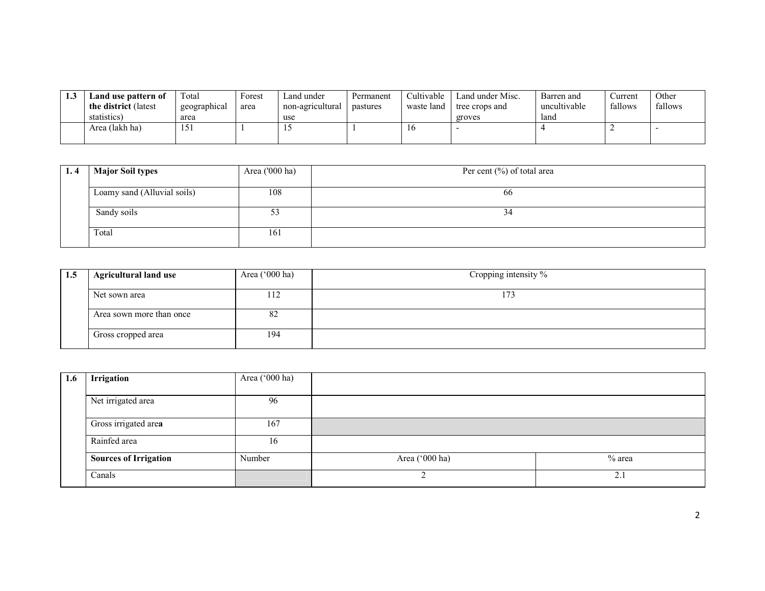| -- | Land use pattern of<br><b>the district</b> (latest)<br>statistics) | ™otal<br>geographical<br>area | Forest<br>area | and under_<br>non-agricultural<br>use | Permanent<br>pastures | Cultivable<br>waste land | Land under Misc.<br>tree crops and<br>groves | Barren and<br>uncultivable<br>land | ∵urrent<br>fallows | Othei<br>fallows |
|----|--------------------------------------------------------------------|-------------------------------|----------------|---------------------------------------|-----------------------|--------------------------|----------------------------------------------|------------------------------------|--------------------|------------------|
|    | Area (lakh ha)                                                     | 1<<br>1J.                     |                |                                       |                       |                          |                                              |                                    |                    |                  |

| 1.4 | <b>Major Soil types</b>     | Area ('000 ha) | Per cent $(\%)$ of total area |
|-----|-----------------------------|----------------|-------------------------------|
|     | Loamy sand (Alluvial soils) | 108            | 66                            |
|     | Sandy soils                 | ر ر            | 34                            |
|     | Total                       | 161            |                               |

| 1.5 | <b>Agricultural land use</b> | Area $('000 ha)$ | Cropping intensity % |
|-----|------------------------------|------------------|----------------------|
|     | Net sown area                | 112              | 173                  |
|     | Area sown more than once     | 82               |                      |
|     | Gross cropped area           | 194              |                      |

| 1.6 | Irrigation                   | Area ('000 ha) |                |                 |
|-----|------------------------------|----------------|----------------|-----------------|
|     | Net irrigated area           | 96             |                |                 |
|     | Gross irrigated area         | 167            |                |                 |
|     | Rainfed area                 | 16             |                |                 |
|     | <b>Sources of Irrigation</b> | Number         | Area ('000 ha) | % area          |
|     | Canals                       |                |                | $\gamma$<br>z., |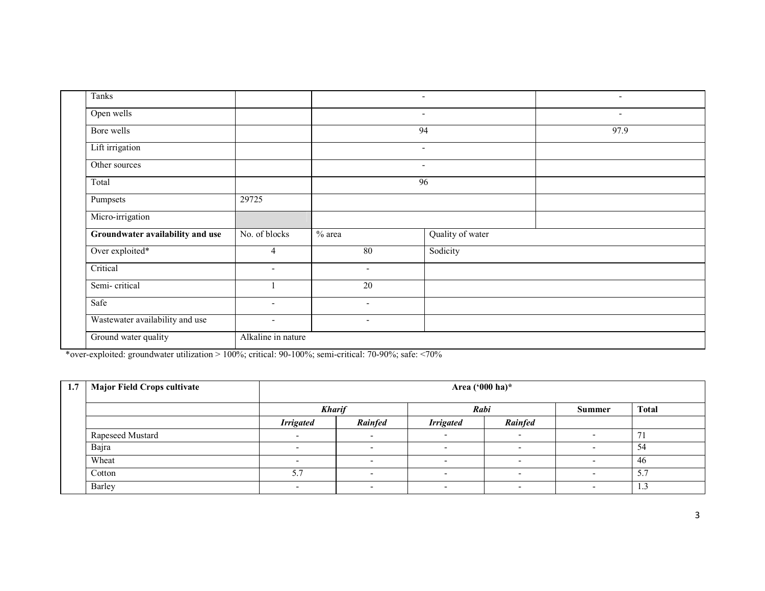| Tanks                            |                          |                | $\sim$                   | $\overline{\phantom{0}}$ |
|----------------------------------|--------------------------|----------------|--------------------------|--------------------------|
| Open wells                       |                          |                | $\overline{\phantom{a}}$ | $\overline{\phantom{a}}$ |
| Bore wells                       |                          |                | 94                       | 97.9                     |
| Lift irrigation                  |                          |                | $\overline{\phantom{a}}$ |                          |
| Other sources                    |                          |                | $\overline{\phantom{a}}$ |                          |
| Total                            |                          |                | 96                       |                          |
| Pumpsets                         | 29725                    |                |                          |                          |
| Micro-irrigation                 |                          |                |                          |                          |
| Groundwater availability and use | No. of blocks            | $%$ area       | Quality of water         |                          |
| Over exploited*                  | 4                        | 80             | Sodicity                 |                          |
| Critical                         | $\sim$                   | $\blacksquare$ |                          |                          |
| Semi-critical                    |                          | 20             |                          |                          |
| Safe                             | $\overline{\phantom{a}}$ | $\blacksquare$ |                          |                          |
| Wastewater availability and use  | $\sim$                   | $\blacksquare$ |                          |                          |
| Ground water quality             | Alkaline in nature       |                |                          |                          |

\*over-exploited: groundwater utilization > 100%; critical: 90-100%; semi-critical: 70-90%; safe: <70%

| 1.7 | <b>Major Field Crops cultivate</b> |                  | Area ('000 ha)*             |                          |                          |               |              |  |  |  |  |  |
|-----|------------------------------------|------------------|-----------------------------|--------------------------|--------------------------|---------------|--------------|--|--|--|--|--|
|     |                                    | <b>Kharif</b>    |                             | Rabi                     |                          | <b>Summer</b> | <b>Total</b> |  |  |  |  |  |
|     |                                    | <b>Irrigated</b> | Rainfed<br><b>Irrigated</b> |                          | Rainfed                  |               |              |  |  |  |  |  |
|     | Rapeseed Mustard                   |                  |                             |                          |                          |               |              |  |  |  |  |  |
|     | Bajra                              | $\sim$           |                             | $\overline{\phantom{0}}$ | $\overline{\phantom{a}}$ |               | 54           |  |  |  |  |  |
|     | Wheat                              |                  |                             |                          |                          |               | -46          |  |  |  |  |  |
|     | Cotton                             | 5.7              |                             |                          |                          |               | 5.7          |  |  |  |  |  |
|     | Barley                             | -                |                             |                          |                          |               | 1.3          |  |  |  |  |  |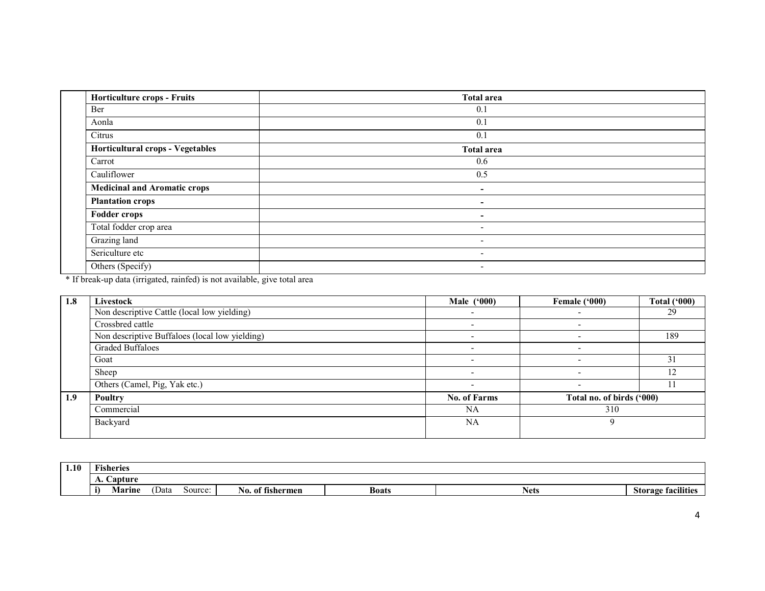| <b>Horticulture crops - Fruits</b>  | <b>Total area</b>        |
|-------------------------------------|--------------------------|
| Ber                                 | 0.1                      |
| Aonla                               | 0.1                      |
| Citrus                              | 0.1                      |
| Horticultural crops - Vegetables    | <b>Total area</b>        |
| Carrot                              | 0.6                      |
| Cauliflower                         | 0.5                      |
| <b>Medicinal and Aromatic crops</b> | ۰                        |
| <b>Plantation crops</b>             | ۰.                       |
| <b>Fodder crops</b>                 | ۰.                       |
| Total fodder crop area              | $\overline{\phantom{0}}$ |
| Grazing land                        | $\overline{\phantom{0}}$ |
| Sericulture etc                     | ۰.                       |
| Others (Specify)                    | $\overline{\phantom{a}}$ |

\* If break-up data (irrigated, rainfed) is not available, give total area

| 1.8 | Livestock                                      | <b>Male</b> ('000)  | Female ('000)             | <b>Total ('000)</b> |
|-----|------------------------------------------------|---------------------|---------------------------|---------------------|
|     | Non descriptive Cattle (local low yielding)    |                     |                           | 29                  |
|     | Crossbred cattle                               |                     |                           |                     |
|     | Non descriptive Buffaloes (local low yielding) |                     |                           | 189                 |
|     | Graded Buffaloes                               |                     |                           |                     |
|     | Goat                                           |                     |                           |                     |
|     | Sheep                                          |                     |                           |                     |
|     | Others (Camel, Pig, Yak etc.)                  |                     |                           |                     |
| 1.9 | <b>Poultry</b>                                 | <b>No. of Farms</b> | Total no. of birds ('000) |                     |
|     | Commercial                                     | <b>NA</b>           | 310                       |                     |
|     | Backyard                                       | NA                  | Q                         |                     |
|     |                                                |                     |                           |                     |

| 1.10 | $\sim$<br>Tisheries    |      |         |                                        |              |             |                           |
|------|------------------------|------|---------|----------------------------------------|--------------|-------------|---------------------------|
|      | Capture<br>$\lambda$ . |      |         |                                        |              |             |                           |
|      | <b>Marine</b>          | Data | source: | $\mathbf{a}$<br>. of fishermen<br>'NO. | <b>Boats</b> | <b>Nets</b> | <b>Storage facilities</b> |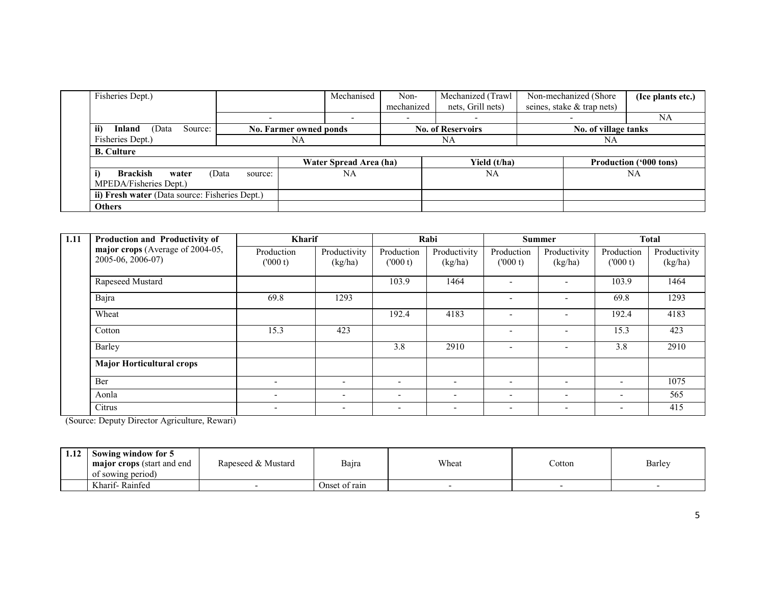| Fisheries Dept.)       |                                                |                  |                               | Mechanised             | Non-       | Mechanized (Trawl        | Non-mechanized (Shore)     | (Ice plants etc.)             |
|------------------------|------------------------------------------------|------------------|-------------------------------|------------------------|------------|--------------------------|----------------------------|-------------------------------|
|                        |                                                |                  |                               |                        | mechanized | nets, Grill nets)        | seines, stake & trap nets) |                               |
|                        |                                                |                  |                               |                        |            |                          |                            | <b>NA</b>                     |
| ii)<br>Inland          | Source:<br>(Data                               |                  | <b>No. Farmer owned ponds</b> |                        |            | <b>No. of Reservoirs</b> | No. of village tanks       |                               |
| Fisheries Dept.)       |                                                | NA               |                               |                        | <b>NA</b>  |                          | NA                         |                               |
| <b>B.</b> Culture      |                                                |                  |                               |                        |            |                          |                            |                               |
|                        |                                                |                  |                               | Water Spread Area (ha) |            | Yield (t/ha)             |                            | <b>Production ('000 tons)</b> |
| <b>Brackish</b><br>i)  | water                                          | (Data<br>source: |                               | <b>NA</b>              |            | NA                       |                            | <b>NA</b>                     |
| MPEDA/Fisheries Dept.) |                                                |                  |                               |                        |            |                          |                            |                               |
|                        | ii) Fresh water (Data source: Fisheries Dept.) |                  |                               |                        |            |                          |                            |                               |
| <b>Others</b>          |                                                |                  |                               |                        |            |                          |                            |                               |

| 1.11 | Production and Productivity of                        | <b>Kharif</b>            |                         |                          | Rabi                     |                          | <b>Summer</b>            |                          | <b>Total</b>            |
|------|-------------------------------------------------------|--------------------------|-------------------------|--------------------------|--------------------------|--------------------------|--------------------------|--------------------------|-------------------------|
|      | major crops (Average of 2004-05,<br>2005-06, 2006-07) | Production<br>(000 t)    | Productivity<br>(kg/ha) | Production<br>(000 t)    | Productivity<br>(kg/ha)  | Production<br>(000 t)    | Productivity<br>(kg/ha)  | Production<br>(000 t)    | Productivity<br>(kg/ha) |
|      | Rapeseed Mustard                                      |                          |                         | 103.9                    | 1464                     | $\qquad \qquad -$        | $\overline{\phantom{0}}$ | 103.9                    | 1464                    |
|      | Bajra                                                 | 69.8                     | 1293                    |                          |                          | $\overline{\phantom{0}}$ |                          | 69.8                     | 1293                    |
|      | Wheat                                                 |                          |                         | 192.4                    | 4183                     |                          |                          | 192.4                    | 4183                    |
|      | Cotton                                                | 15.3                     | 423                     |                          |                          | ۰                        | $\overline{\phantom{0}}$ | 15.3                     | 423                     |
|      | Barley                                                |                          |                         | 3.8                      | 2910                     | $\overline{\phantom{0}}$ | $\overline{\phantom{0}}$ | 3.8                      | 2910                    |
|      | <b>Major Horticultural crops</b>                      |                          |                         |                          |                          |                          |                          |                          |                         |
|      | Ber                                                   | $\overline{\phantom{0}}$ | $\sim$                  | $\overline{\phantom{a}}$ | $\overline{\phantom{0}}$ | $\overline{\phantom{a}}$ | $\overline{\phantom{0}}$ | $\overline{\phantom{0}}$ | 1075                    |
|      | Aonla                                                 | $\overline{\phantom{0}}$ |                         |                          |                          | $\overline{\phantom{0}}$ | $\overline{\phantom{0}}$ | $\overline{\phantom{0}}$ | 565                     |
|      | Citrus                                                |                          |                         | $\overline{\phantom{a}}$ |                          | ۰                        |                          | $\overline{\phantom{0}}$ | 415                     |

(Source: Deputy Director Agriculture, Rewari)

| 1.12 | Sowing window for 5<br><b>major crops</b> (start and end<br>of sowing period) | Rapeseed & Mustard | Bajra         | Wheat | Cotton | Barley |
|------|-------------------------------------------------------------------------------|--------------------|---------------|-------|--------|--------|
|      | Kharif-Rainfed                                                                |                    | Onset of rain |       |        |        |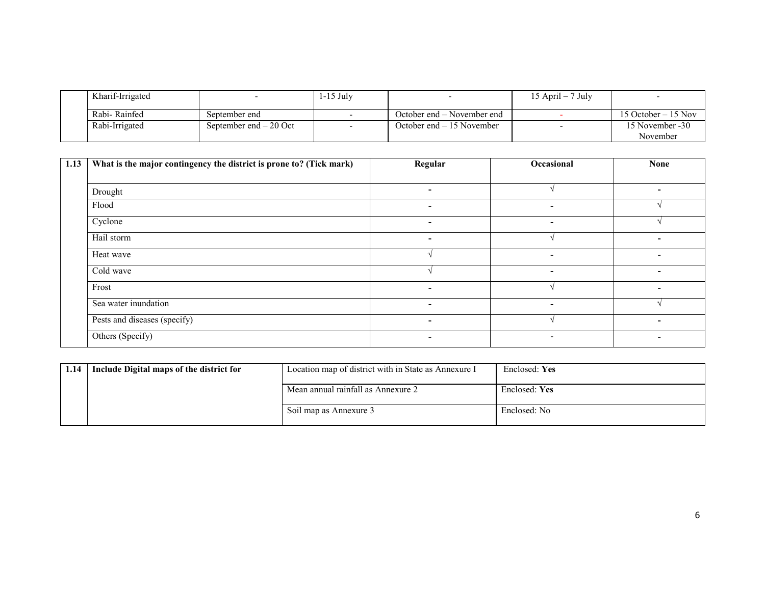| Kharif-Irrigated |                         | $1-15$ July |                            | 15 April – 7 July |                             |
|------------------|-------------------------|-------------|----------------------------|-------------------|-----------------------------|
| Rabi-Rainfed     | September end           |             | October end – November end |                   | 15 October $-15$ Nov        |
| Rabi-Irrigated   | September end $-20$ Oct |             | October end $-15$ November |                   | 15 November -30<br>November |

| 1.13 | What is the major contingency the district is prone to? (Tick mark) | Regular                  | Occasional               | <b>None</b>              |
|------|---------------------------------------------------------------------|--------------------------|--------------------------|--------------------------|
|      |                                                                     |                          |                          |                          |
|      | Drought                                                             | $\overline{\phantom{0}}$ |                          | $\overline{\phantom{0}}$ |
|      | Flood                                                               | $\overline{\phantom{0}}$ | -                        |                          |
|      | Cyclone                                                             | $\overline{\phantom{0}}$ | ٠                        |                          |
|      | Hail storm                                                          | ۰                        |                          |                          |
|      | Heat wave                                                           |                          | $\overline{\phantom{a}}$ | -                        |
|      | Cold wave                                                           |                          | $\sim$                   | $\overline{\phantom{0}}$ |
|      | Frost                                                               | -                        |                          | $\overline{\phantom{0}}$ |
|      | Sea water inundation                                                | ۰                        | $\sim$                   |                          |
|      | Pests and diseases (specify)                                        | ۰.                       |                          | $\overline{\phantom{0}}$ |
|      | Others (Specify)                                                    | ۰                        | $\overline{\phantom{a}}$ | $\overline{\phantom{0}}$ |

| 1.14 | Include Digital maps of the district for | Location map of district with in State as Annexure I | Enclosed: Yes |
|------|------------------------------------------|------------------------------------------------------|---------------|
|      |                                          | Mean annual rainfall as Annexure 2                   | Enclosed: Yes |
|      |                                          | Soil map as Annexure 3                               | Enclosed: No  |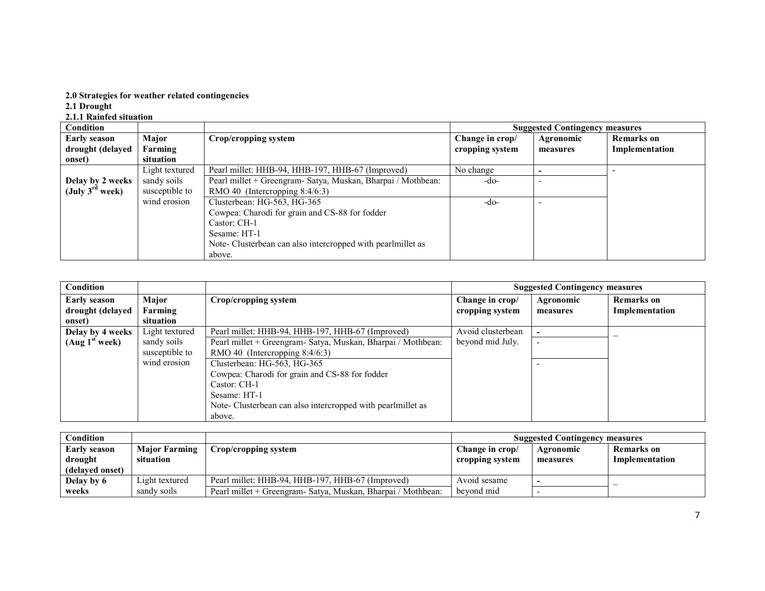# 2.0 Strategies for weather related contingencies 2.1 Drought 2.1.1 Rainfed situation

| Condition                   |                |                                                              |                 | <b>Suggested Contingency measures</b> |                   |
|-----------------------------|----------------|--------------------------------------------------------------|-----------------|---------------------------------------|-------------------|
| <b>Early season</b>         | Major          | Crop/cropping system                                         | Change in crop/ | Agronomic                             | <b>Remarks</b> on |
| drought (delayed            | Farming        |                                                              | cropping system | measures                              | Implementation    |
| onset)                      | situation      |                                                              |                 |                                       |                   |
|                             | Light textured | Pearl millet: HHB-94, HHB-197, HHB-67 (Improved)             | No change       |                                       |                   |
| Delay by 2 weeks            | sandy soils    | Pearl millet + Greengram- Satya, Muskan, Bharpai / Mothbean: | -do-            |                                       |                   |
| (July $3^{\text{rd}}$ week) | susceptible to | RMO 40 (Intercropping $8:4/6:3$ )                            |                 |                                       |                   |
|                             | wind erosion   | Clusterbean: HG-563, HG-365                                  | -do-            |                                       |                   |
|                             |                | Cowpea: Charodi for grain and CS-88 for fodder               |                 |                                       |                   |
|                             |                | Castor: CH-1                                                 |                 |                                       |                   |
|                             |                | Sesame: HT-1                                                 |                 |                                       |                   |
|                             |                | Note-Clusterbean can also intercropped with pearlmillet as   |                 |                                       |                   |
|                             |                | above.                                                       |                 |                                       |                   |

| Condition                  |                |                                                              |                   | <b>Suggested Contingency measures</b> |                   |
|----------------------------|----------------|--------------------------------------------------------------|-------------------|---------------------------------------|-------------------|
| <b>Early season</b>        | Major          | Crop/cropping system                                         | Change in crop/   | Agronomic                             | <b>Remarks</b> on |
| drought (delayed           | Farming        |                                                              | cropping system   | measures                              | Implementation    |
| onset)                     | situation      |                                                              |                   |                                       |                   |
| Delay by 4 weeks           | Light textured | Pearl millet: HHB-94, HHB-197, HHB-67 (Improved)             | Avoid clusterbean |                                       |                   |
| (Aug 1 <sup>st</sup> week) | sandy soils    | Pearl millet + Greengram- Satya, Muskan, Bharpai / Mothbean: | beyond mid July.  |                                       |                   |
|                            | susceptible to | RMO 40 (Intercropping $8:4/6:3$ )                            |                   |                                       |                   |
|                            | wind erosion   | Clusterbean: HG-563, HG-365                                  |                   |                                       |                   |
|                            |                | Cowpea: Charodi for grain and CS-88 for fodder               |                   |                                       |                   |
|                            |                | Castor: CH-1                                                 |                   |                                       |                   |
|                            |                | Sesame: HT-1                                                 |                   |                                       |                   |
|                            |                | Note- Clusterbean can also intercropped with pearlmillet as  |                   |                                       |                   |
|                            |                | above.                                                       |                   |                                       |                   |

| $\mathop{\mathsf{Condition}}$ |                      |                                                               |                 | <b>Suggested Contingency measures</b> |                          |
|-------------------------------|----------------------|---------------------------------------------------------------|-----------------|---------------------------------------|--------------------------|
| <b>Early season</b>           | <b>Major Farming</b> | Crop/cropping system                                          | Change in crop/ | Agronomic                             | <b>Remarks</b> on        |
| drought                       | situation            |                                                               | cropping system | measures                              | Implementation           |
| (delayed onset)               |                      |                                                               |                 |                                       |                          |
| Delay by 6                    | Light textured       | Pearl millet: HHB-94, HHB-197, HHB-67 (Improved)              | Avoid sesame    |                                       | $\overline{\phantom{a}}$ |
| weeks                         | sandy soils          | Pearl millet + Greengram - Satya, Muskan, Bharpai / Mothbean: | beyond mid      |                                       |                          |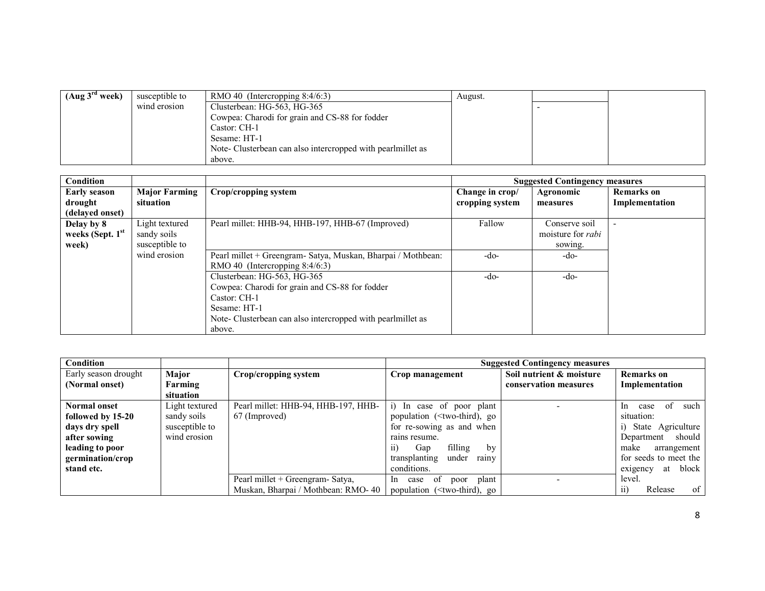| (Aug 3 <sup>rd</sup> week) | susceptible to | RMO 40 (Intercropping $8:4/6:3$ )                           | August. |  |
|----------------------------|----------------|-------------------------------------------------------------|---------|--|
|                            | wind erosion   | Clusterbean: HG-563, HG-365                                 |         |  |
|                            |                | Cowpea: Charodi for grain and CS-88 for fodder              |         |  |
|                            |                | Castor: CH-1                                                |         |  |
|                            |                | Sesame: HT-1                                                |         |  |
|                            |                | Note- Clusterbean can also intercropped with pearlmillet as |         |  |
|                            |                | above.                                                      |         |  |

| Condition           |                      |                                                              |                 | <b>Suggested Contingency measures</b> |                   |
|---------------------|----------------------|--------------------------------------------------------------|-----------------|---------------------------------------|-------------------|
| <b>Early season</b> | <b>Major Farming</b> | Crop/cropping system                                         | Change in crop/ | Agronomic                             | <b>Remarks</b> on |
| drought             | situation            |                                                              | cropping system | measures                              | Implementation    |
| (delayed onset)     |                      |                                                              |                 |                                       |                   |
| Delay by 8          | Light textured       | Pearl millet: HHB-94, HHB-197, HHB-67 (Improved)             | Fallow          | Conserve soil                         |                   |
| weeks (Sept. 1st    | sandy soils          |                                                              |                 | moisture for <i>rabi</i>              |                   |
| week)               | susceptible to       |                                                              |                 | sowing.                               |                   |
|                     | wind erosion         | Pearl millet + Greengram- Satya, Muskan, Bharpai / Mothbean: | $-do-$          | -do-                                  |                   |
|                     |                      | RMO 40 (Intercropping 8:4/6:3)                               |                 |                                       |                   |
|                     |                      | Clusterbean: HG-563, HG-365                                  | $-do-$          | -do-                                  |                   |
|                     |                      | Cowpea: Charodi for grain and CS-88 for fodder               |                 |                                       |                   |
|                     |                      | Castor: CH-1                                                 |                 |                                       |                   |
|                     |                      | Sesame: HT-1                                                 |                 |                                       |                   |
|                     |                      | Note- Clusterbean can also intercropped with pearlmillet as  |                 |                                       |                   |
|                     |                      | above.                                                       |                 |                                       |                   |

| Condition            |                |                                     | <b>Suggested Contingency measures</b>                                                         |                          |                                     |
|----------------------|----------------|-------------------------------------|-----------------------------------------------------------------------------------------------|--------------------------|-------------------------------------|
| Early season drought | Major          | Crop/cropping system                | Crop management                                                                               | Soil nutrient & moisture | <b>Remarks</b> on                   |
| (Normal onset)       | Farming        |                                     |                                                                                               | conservation measures    | Implementation                      |
|                      | situation      |                                     |                                                                                               |                          |                                     |
| <b>Normal onset</b>  | Light textured | Pearl millet: HHB-94, HHB-197, HHB- | i) In case of poor plant                                                                      |                          | <sup>of</sup><br>such<br>ln<br>case |
| followed by 15-20    | sandy soils    | 67 (Improved)                       | population ( <two-third), go<="" th=""><th></th><th>situation:</th></two-third),>             |                          | situation:                          |
| days dry spell       | susceptible to |                                     | for re-sowing as and when                                                                     |                          | State Agriculture                   |
| after sowing         | wind erosion   |                                     | rains resume.                                                                                 |                          | should<br>Department                |
| leading to poor      |                |                                     | filling<br>Gap<br>11)<br>by                                                                   |                          | arrangement<br>make                 |
| germination/crop     |                |                                     | under<br>transplanting<br>rainy                                                               |                          | for seeds to meet the               |
| stand etc.           |                |                                     | conditions.                                                                                   |                          | block<br>at<br>exigency             |
|                      |                | Pearl millet + Greengram- Satya,    | plant<br>case of<br>poor<br>In.                                                               |                          | level.                              |
|                      |                | Muskan, Bharpai / Mothbean: RMO-40  | population ( <two-third), go<="" th=""><th></th><th>of<br/>Release<br/>11)</th></two-third),> |                          | of<br>Release<br>11)                |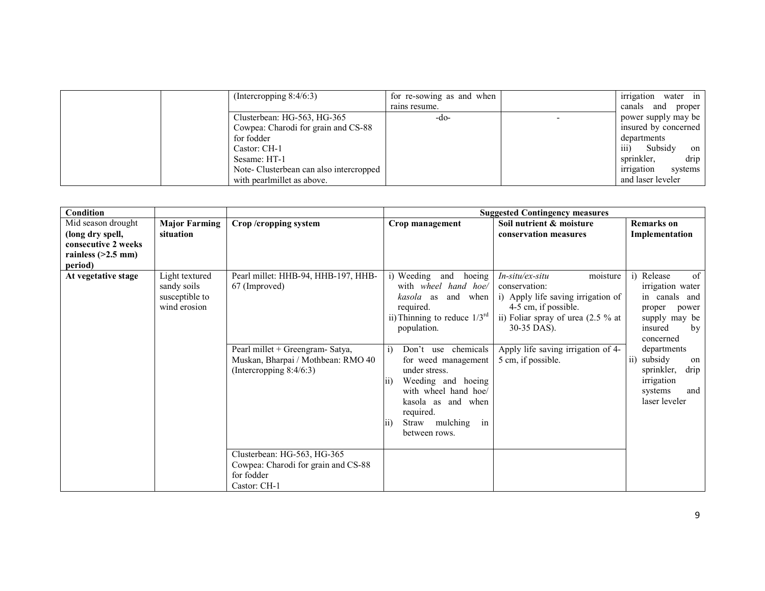| (Intercropping $8:4/6:3$ )             | for re-sowing as and when | irrigation<br>water in            |
|----------------------------------------|---------------------------|-----------------------------------|
|                                        | rains resume.             | and proper<br>canals              |
| Clusterbean: HG-563, HG-365            | -do-                      | power supply may be               |
| Cowpea: Charodi for grain and CS-88    |                           | insured by concerned              |
| for fodder                             |                           | departments                       |
| Castor: CH-1                           |                           | $\overline{111}$<br>Subsidy<br>on |
| Sesame: HT-1                           |                           | sprinkler,<br>drip                |
| Note-Clusterbean can also intercropped |                           | irrigation<br>systems             |
| with pearlmillet as above.             |                           | and laser leveler                 |

| Condition                                                                                        |                                                                 |                                                                                                                                                              |                                                                                                                                                                                                                                                                                                                                                                                    | <b>Suggested Contingency measures</b>                                                                                                                                                                                          |                                                                                                                                                                                                                                       |
|--------------------------------------------------------------------------------------------------|-----------------------------------------------------------------|--------------------------------------------------------------------------------------------------------------------------------------------------------------|------------------------------------------------------------------------------------------------------------------------------------------------------------------------------------------------------------------------------------------------------------------------------------------------------------------------------------------------------------------------------------|--------------------------------------------------------------------------------------------------------------------------------------------------------------------------------------------------------------------------------|---------------------------------------------------------------------------------------------------------------------------------------------------------------------------------------------------------------------------------------|
| Mid season drought<br>(long dry spell,<br>consecutive 2 weeks<br>rainless $(>2.5$ mm)<br>period) | <b>Major Farming</b><br>situation                               | Crop/cropping system                                                                                                                                         | Crop management                                                                                                                                                                                                                                                                                                                                                                    | Soil nutrient & moisture<br>conservation measures                                                                                                                                                                              | <b>Remarks</b> on<br>Implementation                                                                                                                                                                                                   |
| At vegetative stage                                                                              | Light textured<br>sandy soils<br>susceptible to<br>wind erosion | Pearl millet: HHB-94, HHB-197, HHB-<br>67 (Improved)<br>Pearl millet + Greengram- Satya,<br>Muskan, Bharpai / Mothbean: RMO 40<br>(Intercropping $8:4/6:3$ ) | i) Weeding<br>hoeing<br>and<br>with wheel hand hoe/<br>kasola as<br>and when<br>required.<br>ii) Thinning to reduce $1/3^{rd}$<br>population.<br>Don't use chemicals<br>i)<br>for weed management<br>under stress.<br>Weeding and hoeing<br>$\overline{11}$<br>with wheel hand hoe/<br>kasola as and when<br>required.<br>in<br>Straw mulching<br>$\overline{11}$<br>between rows. | $In-situ$ /ex-situ<br>moisture<br>conservation:<br>i) Apply life saving irrigation of<br>4-5 cm, if possible.<br>ii) Foliar spray of urea (2.5 % at<br>30-35 DAS).<br>Apply life saving irrigation of 4-<br>5 cm, if possible. | Release<br>of<br>i)<br>irrigation water<br>in canals and<br>proper<br>power<br>supply may be<br>insured<br>by<br>concerned<br>departments<br>ii) subsidy<br>on<br>sprinkler,<br>drip<br>irrigation<br>and<br>systems<br>laser leveler |
|                                                                                                  |                                                                 | Clusterbean: HG-563, HG-365<br>Cowpea: Charodi for grain and CS-88<br>for fodder<br>Castor: CH-1                                                             |                                                                                                                                                                                                                                                                                                                                                                                    |                                                                                                                                                                                                                                |                                                                                                                                                                                                                                       |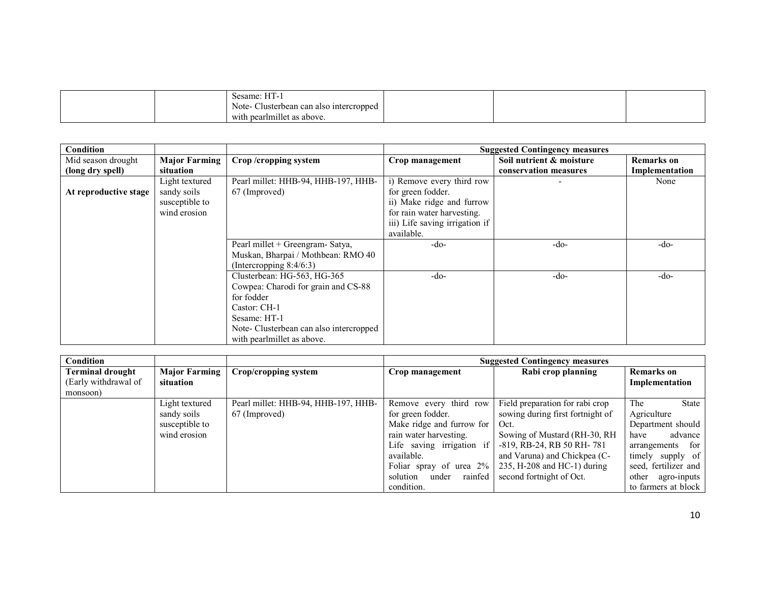|  |  |  | <b>TTT</b><br>Sesame: H <sub>1</sub> -1<br>Note-<br>Clusterbean can also intercropped<br><br>pearlmillet as above.<br>- with น |  |  |  |
|--|--|--|--------------------------------------------------------------------------------------------------------------------------------|--|--|--|
|--|--|--|--------------------------------------------------------------------------------------------------------------------------------|--|--|--|

| Condition             |                      |                                        |                                | <b>Suggested Contingency measures</b> |                   |
|-----------------------|----------------------|----------------------------------------|--------------------------------|---------------------------------------|-------------------|
| Mid season drought    | <b>Major Farming</b> | Crop/cropping system                   | Crop management                | Soil nutrient & moisture              | <b>Remarks</b> on |
| (long dry spell)      | situation            |                                        |                                | conservation measures                 | Implementation    |
|                       | Light textured       | Pearl millet: HHB-94, HHB-197, HHB-    | i) Remove every third row      |                                       | None              |
| At reproductive stage | sandy soils          | 67 (Improved)                          | for green fodder.              |                                       |                   |
|                       | susceptible to       |                                        | ii) Make ridge and furrow      |                                       |                   |
|                       | wind erosion         |                                        | for rain water harvesting.     |                                       |                   |
|                       |                      |                                        | iii) Life saving irrigation if |                                       |                   |
|                       |                      |                                        | available.                     |                                       |                   |
|                       |                      | Pearl millet + Greengram- Satya,       | $-do-$                         | $-do-$                                | $-do-$            |
|                       |                      | Muskan, Bharpai / Mothbean: RMO 40     |                                |                                       |                   |
|                       |                      | (Intercropping $8:4/6:3$ )             |                                |                                       |                   |
|                       |                      | Clusterbean: HG-563, HG-365            | $-do-$                         | $-do-$                                | -do-              |
|                       |                      | Cowpea: Charodi for grain and CS-88    |                                |                                       |                   |
|                       |                      | for fodder                             |                                |                                       |                   |
|                       |                      | Castor: CH-1                           |                                |                                       |                   |
|                       |                      | Sesame: HT-1                           |                                |                                       |                   |
|                       |                      | Note-Clusterbean can also intercropped |                                |                                       |                   |
|                       |                      | with pearlmillet as above.             |                                |                                       |                   |

| Condition               |                      |                                     | <b>Suggested Contingency measures</b> |                                  |                      |
|-------------------------|----------------------|-------------------------------------|---------------------------------------|----------------------------------|----------------------|
| <b>Terminal drought</b> | <b>Major Farming</b> | Crop/cropping system                | Crop management                       | Rabi crop planning               | <b>Remarks</b> on    |
| (Early withdrawal of    | situation            |                                     |                                       |                                  | Implementation       |
| monsoon)                |                      |                                     |                                       |                                  |                      |
|                         | Light textured       | Pearl millet: HHB-94, HHB-197, HHB- | Remove every third row                | Field preparation for rabi crop  | The<br>State         |
|                         | sandy soils          | 67 (Improved)                       | for green fodder.                     | sowing during first fortnight of | Agriculture          |
|                         | susceptible to       |                                     | Make ridge and furrow for             | Oct.                             | Department should    |
|                         | wind erosion         |                                     | rain water harvesting.                | Sowing of Mustard (RH-30, RH)    | advance<br>have      |
|                         |                      |                                     | Life saving irrigation if             | -819, RB-24, RB 50 RH-781        | arrangements for     |
|                         |                      |                                     | available.                            | and Varuna) and Chickpea (C-     | timely supply of     |
|                         |                      |                                     | Foliar spray of urea 2%               | $235$ , H-208 and HC-1) during   | seed, fertilizer and |
|                         |                      |                                     | rainfed<br>solution<br>under          | second fortnight of Oct.         | other agro-inputs    |
|                         |                      |                                     | condition.                            |                                  | to farmers at block  |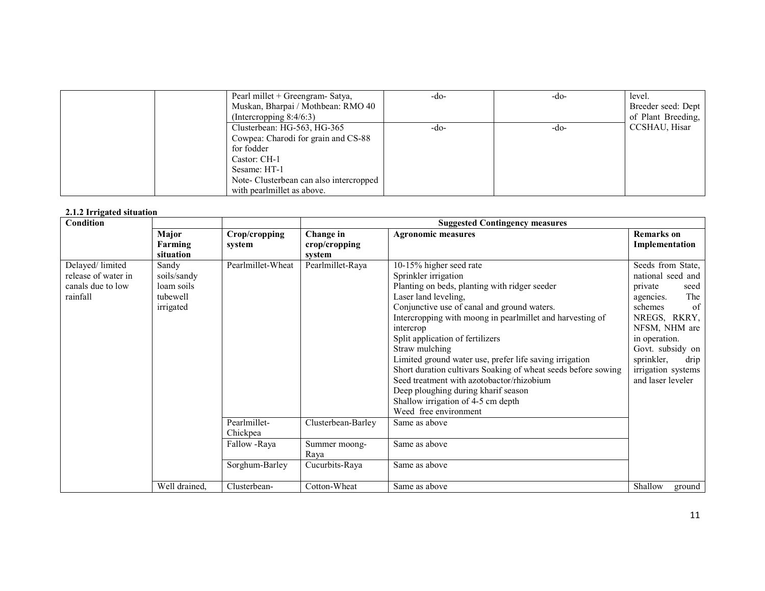| Pearl millet + Greengram- Satya,<br>Muskan, Bharpai / Mothbean: RMO 40<br>(Intercropping $8:4/6:3$ )                                                                                     | -do- | -do- | level.<br>Breeder seed: Dept<br>of Plant Breeding, |
|------------------------------------------------------------------------------------------------------------------------------------------------------------------------------------------|------|------|----------------------------------------------------|
| Clusterbean: HG-563, HG-365<br>Cowpea: Charodi for grain and CS-88<br>for fodder<br>Castor: CH-1<br>Sesame: HT-1<br>Note-Clusterbean can also intercropped<br>with pearlmillet as above. | -do- | -do- | CCSHAU, Hisar                                      |

#### 2.1.2 Irrigated situation

| ninguwa situation<br>Condition                                          |                                                             |                          | <b>Suggested Contingency measures</b> |                                                                                                                                                                                                                                                                                                                                                                                                                                                                                                                                                                                        |                                                                                                                                                                                                                                       |  |
|-------------------------------------------------------------------------|-------------------------------------------------------------|--------------------------|---------------------------------------|----------------------------------------------------------------------------------------------------------------------------------------------------------------------------------------------------------------------------------------------------------------------------------------------------------------------------------------------------------------------------------------------------------------------------------------------------------------------------------------------------------------------------------------------------------------------------------------|---------------------------------------------------------------------------------------------------------------------------------------------------------------------------------------------------------------------------------------|--|
|                                                                         | Major<br>Farming<br>situation                               | Crop/cropping<br>system  | Change in<br>crop/cropping<br>system  | <b>Agronomic measures</b>                                                                                                                                                                                                                                                                                                                                                                                                                                                                                                                                                              | <b>Remarks</b> on<br>Implementation                                                                                                                                                                                                   |  |
| Delayed/limited<br>release of water in<br>canals due to low<br>rainfall | Sandy<br>soils/sandy<br>loam soils<br>tubewell<br>irrigated | Pearlmillet-Wheat        | Pearlmillet-Raya                      | 10-15% higher seed rate<br>Sprinkler irrigation<br>Planting on beds, planting with ridger seeder<br>Laser land leveling,<br>Conjunctive use of canal and ground waters.<br>Intercropping with moong in pearlmillet and harvesting of<br>intercrop<br>Split application of fertilizers<br>Straw mulching<br>Limited ground water use, prefer life saving irrigation<br>Short duration cultivars Soaking of wheat seeds before sowing<br>Seed treatment with azotobactor/rhizobium<br>Deep ploughing during kharif season<br>Shallow irrigation of 4-5 cm depth<br>Weed free environment | Seeds from State,<br>national seed and<br>private<br>seed<br>The<br>agencies.<br>schemes<br>of<br>NREGS, RKRY,<br>NFSM, NHM are<br>in operation.<br>Govt. subsidy on<br>sprinkler,<br>drip<br>irrigation systems<br>and laser leveler |  |
|                                                                         |                                                             | Pearlmillet-<br>Chickpea | Clusterbean-Barley                    | Same as above                                                                                                                                                                                                                                                                                                                                                                                                                                                                                                                                                                          |                                                                                                                                                                                                                                       |  |
|                                                                         |                                                             | Fallow -Raya             | Summer moong-<br>Raya                 | Same as above                                                                                                                                                                                                                                                                                                                                                                                                                                                                                                                                                                          |                                                                                                                                                                                                                                       |  |
|                                                                         |                                                             | Sorghum-Barley           | Cucurbits-Raya                        | Same as above                                                                                                                                                                                                                                                                                                                                                                                                                                                                                                                                                                          |                                                                                                                                                                                                                                       |  |
|                                                                         | Well drained,                                               | Clusterbean-             | Cotton-Wheat                          | Same as above                                                                                                                                                                                                                                                                                                                                                                                                                                                                                                                                                                          | Shallow<br>ground                                                                                                                                                                                                                     |  |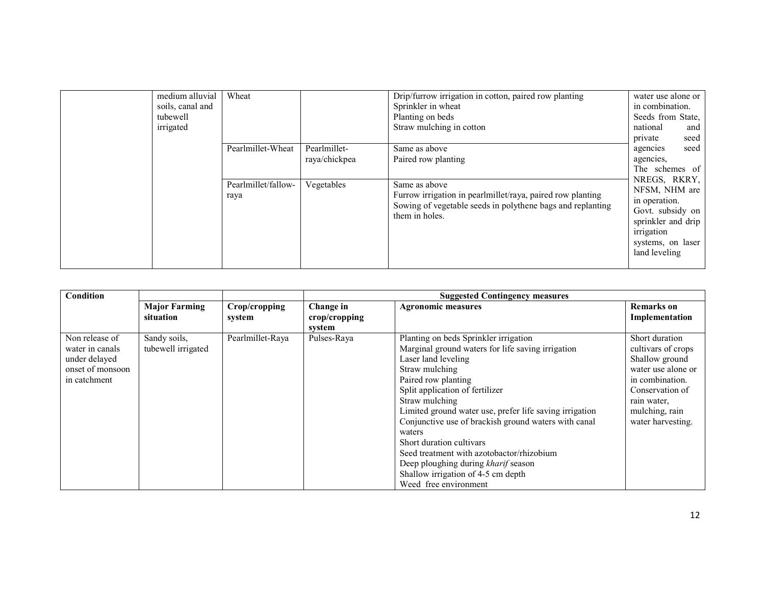| medium alluvial<br>soils, canal and<br>tubewell<br>irrigated | Wheat<br>Pearlmillet-Wheat                | Pearlmillet-<br>raya/chickpea | Drip/furrow irrigation in cotton, paired row planting<br>Sprinkler in wheat<br>Planting on beds<br>Straw mulching in cotton<br>Same as above<br>Paired row planting | water use alone or<br>in combination.<br>Seeds from State.<br>national<br>and<br>seed<br>private<br>seed<br>agencies<br>agencies,<br>The schemes of |
|--------------------------------------------------------------|-------------------------------------------|-------------------------------|---------------------------------------------------------------------------------------------------------------------------------------------------------------------|-----------------------------------------------------------------------------------------------------------------------------------------------------|
|                                                              | Pearlmillet/fallow-<br>Vegetables<br>raya |                               | Same as above<br>Furrow irrigation in pearlmillet/raya, paired row planting<br>Sowing of vegetable seeds in polythene bags and replanting<br>them in holes.         | NREGS, RKRY,<br>NFSM, NHM are<br>in operation.<br>Govt. subsidy on<br>sprinkler and drip<br>irrigation<br>systems, on laser<br>land leveling        |

| Condition                                                                              |                                    |                         | <b>Suggested Contingency measures</b> |                                                                                                                                                                                                                                                                                                                                                                                                                                                                                                                             |                                                                                                                                                                          |  |
|----------------------------------------------------------------------------------------|------------------------------------|-------------------------|---------------------------------------|-----------------------------------------------------------------------------------------------------------------------------------------------------------------------------------------------------------------------------------------------------------------------------------------------------------------------------------------------------------------------------------------------------------------------------------------------------------------------------------------------------------------------------|--------------------------------------------------------------------------------------------------------------------------------------------------------------------------|--|
|                                                                                        | <b>Major Farming</b><br>situation  | Crop/cropping<br>system | Change in<br>crop/cropping<br>system  | <b>Agronomic measures</b>                                                                                                                                                                                                                                                                                                                                                                                                                                                                                                   | <b>Remarks</b> on<br>Implementation                                                                                                                                      |  |
| Non release of<br>water in canals<br>under delayed<br>onset of monsoon<br>in catchment | Sandy soils,<br>tubewell irrigated | Pearlmillet-Raya        | Pulses-Raya                           | Planting on beds Sprinkler irrigation<br>Marginal ground waters for life saving irrigation<br>Laser land leveling<br>Straw mulching<br>Paired row planting<br>Split application of fertilizer<br>Straw mulching<br>Limited ground water use, prefer life saving irrigation<br>Conjunctive use of brackish ground waters with canal<br>waters<br>Short duration cultivars<br>Seed treatment with azotobactor/rhizobium<br>Deep ploughing during kharif season<br>Shallow irrigation of 4-5 cm depth<br>Weed free environment | Short duration<br>cultivars of crops<br>Shallow ground<br>water use alone or<br>in combination.<br>Conservation of<br>rain water,<br>mulching, rain<br>water harvesting. |  |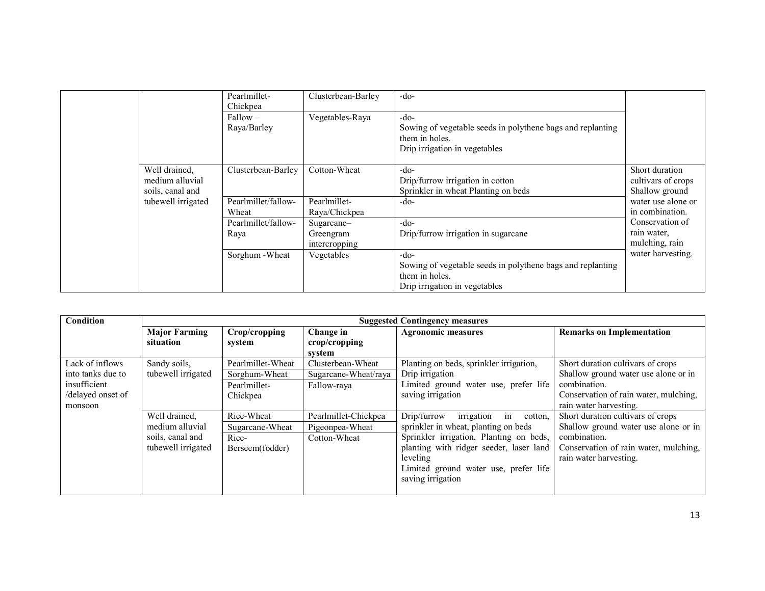|                                                      | Pearlmillet-<br>Chickpea     | Clusterbean-Barley            | $-do-$                                                                                                                  |                                                        |
|------------------------------------------------------|------------------------------|-------------------------------|-------------------------------------------------------------------------------------------------------------------------|--------------------------------------------------------|
|                                                      | $Fallow -$<br>Raya/Barley    | Vegetables-Raya               | $-do-$<br>Sowing of vegetable seeds in polythene bags and replanting<br>them in holes.<br>Drip irrigation in vegetables |                                                        |
| Well drained,<br>medium alluvial<br>soils, canal and | Clusterbean-Barley           | Cotton-Wheat                  | $-do-$<br>Drip/furrow irrigation in cotton<br>Sprinkler in wheat Planting on beds                                       | Short duration<br>cultivars of crops<br>Shallow ground |
| tubewell irrigated                                   | Pearlmillet/fallow-<br>Wheat | Pearlmillet-<br>Raya/Chickpea | $-do-$                                                                                                                  | water use alone or<br>in combination.                  |
|                                                      | Pearlmillet/fallow-<br>Raya  | Sugarcane-<br>Greengram       | $-do-$<br>Drip/furrow irrigation in sugarcane                                                                           | Conservation of<br>rain water,<br>mulching, rain       |
|                                                      | Sorghum - Wheat              | intercropping<br>Vegetables   | $-do-$<br>Sowing of vegetable seeds in polythene bags and replanting<br>them in holes.<br>Drip irrigation in vegetables | water harvesting.                                      |

| Condition         |                      |                   |                      | <b>Suggested Contingency measures</b>      |                                       |
|-------------------|----------------------|-------------------|----------------------|--------------------------------------------|---------------------------------------|
|                   | <b>Major Farming</b> | Crop/cropping     | Change in            | <b>Agronomic measures</b>                  | <b>Remarks on Implementation</b>      |
|                   | situation            | system            | crop/cropping        |                                            |                                       |
|                   |                      |                   | system               |                                            |                                       |
| Lack of inflows   | Sandy soils,         | Pearlmillet-Wheat | Clusterbean-Wheat    | Planting on beds, sprinkler irrigation,    | Short duration cultivars of crops     |
| into tanks due to | tubewell irrigated   | Sorghum-Wheat     | Sugarcane-Wheat/raya | Drip irrigation                            | Shallow ground water use alone or in  |
| insufficient      |                      | Pearlmillet-      | Fallow-raya          | Limited ground water use, prefer life      | combination.                          |
| /delayed onset of |                      | Chickpea          |                      | saving irrigation                          | Conservation of rain water, mulching, |
| monsoon           |                      |                   |                      |                                            | rain water harvesting.                |
|                   | Well drained,        | Rice-Wheat        | Pearlmillet-Chickpea | irrigation<br>Drip/furrow<br>in<br>cotton. | Short duration cultivars of crops     |
|                   | medium alluvial      | Sugarcane-Wheat   | Pigeonpea-Wheat      | sprinkler in wheat, planting on beds       | Shallow ground water use alone or in  |
|                   | soils, canal and     | Rice-             | Cotton-Wheat         | Sprinkler irrigation, Planting on beds,    | combination.                          |
|                   | tubewell irrigated   | Berseem(fodder)   |                      | planting with ridger seeder, laser land    | Conservation of rain water, mulching, |
|                   |                      |                   |                      | leveling                                   | rain water harvesting.                |
|                   |                      |                   |                      | Limited ground water use, prefer life      |                                       |
|                   |                      |                   |                      | saving irrigation                          |                                       |
|                   |                      |                   |                      |                                            |                                       |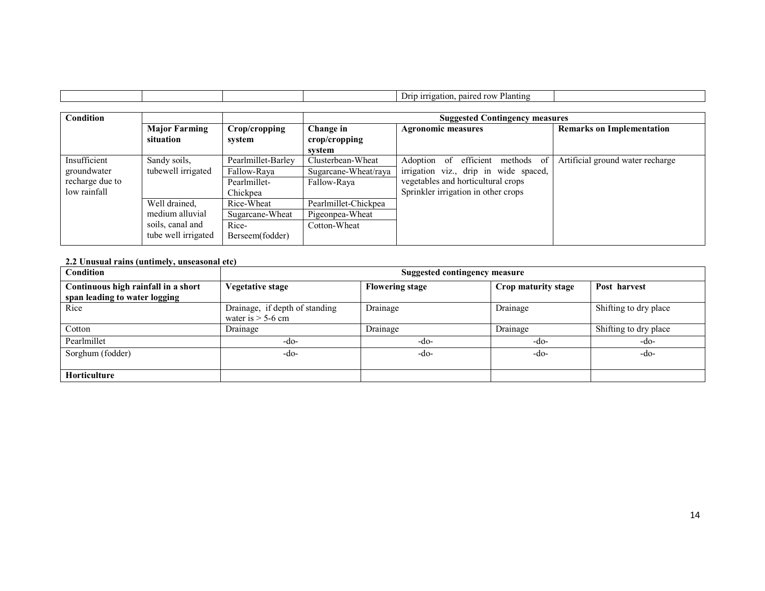|                                                                |                                                                             |                                                               |                                                          | Drip irrigation, paired row Planting                                                                                                                   |                                  |  |  |
|----------------------------------------------------------------|-----------------------------------------------------------------------------|---------------------------------------------------------------|----------------------------------------------------------|--------------------------------------------------------------------------------------------------------------------------------------------------------|----------------------------------|--|--|
| Condition                                                      |                                                                             |                                                               | <b>Suggested Contingency measures</b>                    |                                                                                                                                                        |                                  |  |  |
|                                                                | <b>Major Farming</b><br>situation                                           | Crop/cropping<br>system                                       | Change in<br>$\mathbf{crop/c}$ ropping<br>system         | <b>Agronomic measures</b>                                                                                                                              | <b>Remarks on Implementation</b> |  |  |
| Insufficient<br>groundwater<br>recharge due to<br>low rainfall | Sandy soils,<br>tubewell irrigated                                          | Pearlmillet-Barley<br>Fallow-Raya<br>Pearlmillet-<br>Chickpea | Clusterbean-Wheat<br>Sugarcane-Wheat/raya<br>Fallow-Raya | Adoption of efficient methods of<br>irrigation viz., drip in wide spaced,<br>vegetables and horticultural crops<br>Sprinkler irrigation in other crops | Artificial ground water recharge |  |  |
|                                                                | Well drained,<br>medium alluvial<br>soils, canal and<br>tube well irrigated | Rice-Wheat<br>Sugarcane-Wheat<br>Rice-<br>Berseem(fodder)     | Pearlmillet-Chickpea<br>Pigeonpea-Wheat<br>Cotton-Wheat  |                                                                                                                                                        |                                  |  |  |

#### 2.2 Unusual rains (untimely, unseasonal etc)

Г

| <b>Condition</b>                                                     | Suggested contingency measure                         |                        |                     |                       |  |  |
|----------------------------------------------------------------------|-------------------------------------------------------|------------------------|---------------------|-----------------------|--|--|
| Continuous high rainfall in a short<br>span leading to water logging | Vegetative stage                                      | <b>Flowering stage</b> | Crop maturity stage | Post harvest          |  |  |
| Rice                                                                 | Drainage, if depth of standing<br>water is $>$ 5-6 cm | Drainage               | Drainage            | Shifting to dry place |  |  |
| Cotton                                                               | Drainage                                              | Drainage               | Drainage            | Shifting to dry place |  |  |
| Pearlmillet                                                          | -do-                                                  | -do-                   | -do-                | -do-                  |  |  |
| Sorghum (fodder)                                                     | -do-                                                  | $-do-$                 | -do-                | -do-                  |  |  |
| <b>Horticulture</b>                                                  |                                                       |                        |                     |                       |  |  |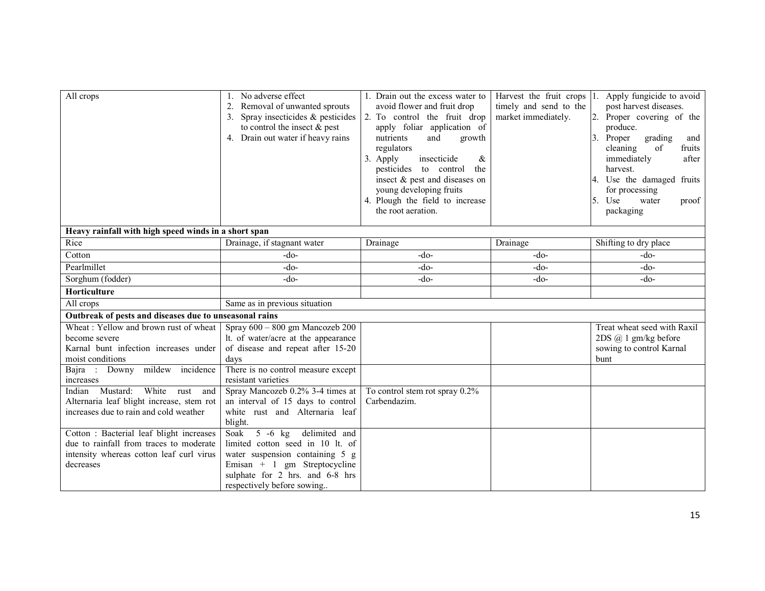| All crops                                                 | No adverse effect<br>Removal of unwanted sprouts<br>Spray insecticides & pesticides<br>to control the insect $\&$ pest<br>4. Drain out water if heavy rains | 1. Drain out the excess water to<br>avoid flower and fruit drop<br>2. To control the fruit drop<br>apply foliar application of<br>nutrients<br>and<br>growth<br>regulators<br>Apply<br>insecticide<br>&<br>3.<br>pesticides to control<br>the<br>insect & pest and diseases on<br>young developing fruits<br>4. Plough the field to increase<br>the root aeration. | timely and send to the<br>market immediately. | Harvest the fruit crops 1. Apply fungicide to avoid<br>post harvest diseases.<br>2. Proper covering of the<br>produce.<br>Proper<br>grading<br>and<br>cleaning<br>of<br>fruits<br>immediately<br>after<br>harvest.<br>4. Use the damaged fruits<br>for processing<br>5.<br>Use<br>water<br>proof<br>packaging |
|-----------------------------------------------------------|-------------------------------------------------------------------------------------------------------------------------------------------------------------|--------------------------------------------------------------------------------------------------------------------------------------------------------------------------------------------------------------------------------------------------------------------------------------------------------------------------------------------------------------------|-----------------------------------------------|---------------------------------------------------------------------------------------------------------------------------------------------------------------------------------------------------------------------------------------------------------------------------------------------------------------|
| Heavy rainfall with high speed winds in a short span      |                                                                                                                                                             |                                                                                                                                                                                                                                                                                                                                                                    |                                               |                                                                                                                                                                                                                                                                                                               |
| Rice                                                      | Drainage, if stagnant water                                                                                                                                 | Drainage                                                                                                                                                                                                                                                                                                                                                           | Drainage                                      | Shifting to dry place                                                                                                                                                                                                                                                                                         |
| Cotton                                                    | $-do-$                                                                                                                                                      | $-do-$                                                                                                                                                                                                                                                                                                                                                             | $-do-$                                        | $-do-$                                                                                                                                                                                                                                                                                                        |
| Pearlmillet                                               | $-do-$                                                                                                                                                      | $-do-$                                                                                                                                                                                                                                                                                                                                                             | $-do-$                                        | $-do-$                                                                                                                                                                                                                                                                                                        |
| Sorghum (fodder)                                          | $-do-$                                                                                                                                                      | $-do-$                                                                                                                                                                                                                                                                                                                                                             | $-do-$                                        | $-do-$                                                                                                                                                                                                                                                                                                        |
| Horticulture                                              |                                                                                                                                                             |                                                                                                                                                                                                                                                                                                                                                                    |                                               |                                                                                                                                                                                                                                                                                                               |
| All crops                                                 | Same as in previous situation                                                                                                                               |                                                                                                                                                                                                                                                                                                                                                                    |                                               |                                                                                                                                                                                                                                                                                                               |
| Outbreak of pests and diseases due to unseasonal rains    |                                                                                                                                                             |                                                                                                                                                                                                                                                                                                                                                                    |                                               |                                                                                                                                                                                                                                                                                                               |
| Wheat: Yellow and brown rust of wheat                     | Spray $600 - 800$ gm Mancozeb $200$                                                                                                                         |                                                                                                                                                                                                                                                                                                                                                                    |                                               | Treat wheat seed with Raxil                                                                                                                                                                                                                                                                                   |
| become severe                                             | It. of water/acre at the appearance                                                                                                                         |                                                                                                                                                                                                                                                                                                                                                                    |                                               | 2DS @ 1 gm/kg before                                                                                                                                                                                                                                                                                          |
| Karnal bunt infection increases under<br>moist conditions | of disease and repeat after 15-20<br>days                                                                                                                   |                                                                                                                                                                                                                                                                                                                                                                    |                                               | sowing to control Karnal<br>bunt                                                                                                                                                                                                                                                                              |
| Bajra : Downy mildew incidence                            | There is no control measure except                                                                                                                          |                                                                                                                                                                                                                                                                                                                                                                    |                                               |                                                                                                                                                                                                                                                                                                               |
| increases                                                 | resistant varieties                                                                                                                                         |                                                                                                                                                                                                                                                                                                                                                                    |                                               |                                                                                                                                                                                                                                                                                                               |
| White<br>Mustard:<br>Indian<br>rust<br>and                | Spray Mancozeb 0.2% 3-4 times at                                                                                                                            | To control stem rot spray 0.2%                                                                                                                                                                                                                                                                                                                                     |                                               |                                                                                                                                                                                                                                                                                                               |
| Alternaria leaf blight increase, stem rot                 | an interval of 15 days to control                                                                                                                           | Carbendazim.                                                                                                                                                                                                                                                                                                                                                       |                                               |                                                                                                                                                                                                                                                                                                               |
| increases due to rain and cold weather                    | white rust and Alternaria leaf                                                                                                                              |                                                                                                                                                                                                                                                                                                                                                                    |                                               |                                                                                                                                                                                                                                                                                                               |
|                                                           | blight.                                                                                                                                                     |                                                                                                                                                                                                                                                                                                                                                                    |                                               |                                                                                                                                                                                                                                                                                                               |
| Cotton : Bacterial leaf blight increases                  | $5 -6$ kg<br>delimited and<br>Soak                                                                                                                          |                                                                                                                                                                                                                                                                                                                                                                    |                                               |                                                                                                                                                                                                                                                                                                               |
| due to rainfall from traces to moderate                   | limited cotton seed in 10 lt. of                                                                                                                            |                                                                                                                                                                                                                                                                                                                                                                    |                                               |                                                                                                                                                                                                                                                                                                               |
| intensity whereas cotton leaf curl virus                  | water suspension containing 5 g                                                                                                                             |                                                                                                                                                                                                                                                                                                                                                                    |                                               |                                                                                                                                                                                                                                                                                                               |
| decreases                                                 | Emisan + 1 gm Streptocycline                                                                                                                                |                                                                                                                                                                                                                                                                                                                                                                    |                                               |                                                                                                                                                                                                                                                                                                               |
|                                                           | sulphate for 2 hrs. and 6-8 hrs                                                                                                                             |                                                                                                                                                                                                                                                                                                                                                                    |                                               |                                                                                                                                                                                                                                                                                                               |
|                                                           | respectively before sowing                                                                                                                                  |                                                                                                                                                                                                                                                                                                                                                                    |                                               |                                                                                                                                                                                                                                                                                                               |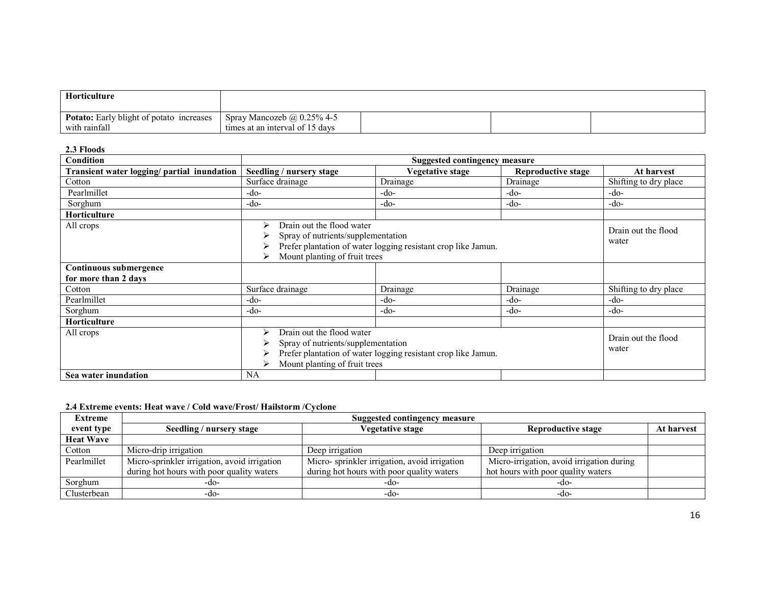| Horticulture                                                     |                                                                      |  |  |
|------------------------------------------------------------------|----------------------------------------------------------------------|--|--|
| <b>Potato:</b> Early blight of potato increases<br>with rainfall | Spray Mancozeb $\omega$ 0.25% 4-5<br>times at an interval of 15 days |  |  |

2.3 Floods

| Condition                                   |                                                                                                                                                                                 | <b>Suggested contingency measure</b> |                              |                       |
|---------------------------------------------|---------------------------------------------------------------------------------------------------------------------------------------------------------------------------------|--------------------------------------|------------------------------|-----------------------|
| Transient water logging/ partial inundation | Seedling / nursery stage                                                                                                                                                        | Vegetative stage                     | <b>Reproductive stage</b>    | At harvest            |
| Cotton                                      | Surface drainage                                                                                                                                                                | Drainage                             | Drainage                     | Shifting to dry place |
| Pearlmillet                                 | $-do-$                                                                                                                                                                          | $-do-$                               | -do-                         | -do-                  |
| Sorghum                                     | -do-                                                                                                                                                                            | -do-                                 | -do-                         | -do-                  |
| Horticulture                                |                                                                                                                                                                                 |                                      |                              |                       |
| All crops                                   | Drain out the flood water<br>⋗<br>Spray of nutrients/supplementation<br>Prefer plantation of water logging resistant crop like Jamun.<br>Mount planting of fruit trees<br>⋗     |                                      | Drain out the flood<br>water |                       |
| Continuous submergence                      |                                                                                                                                                                                 |                                      |                              |                       |
| for more than 2 days                        |                                                                                                                                                                                 |                                      |                              |                       |
| Cotton                                      | Surface drainage                                                                                                                                                                | Drainage                             | Drainage                     | Shifting to dry place |
| Pearlmillet                                 | $-do-$                                                                                                                                                                          | -do-                                 | -do-                         | -do-                  |
| Sorghum                                     | $-do-$                                                                                                                                                                          | $-do-$                               | -do-                         | $-do-$                |
| <b>Horticulture</b>                         |                                                                                                                                                                                 |                                      |                              |                       |
| All crops                                   | Drain out the flood water<br>⋗<br>Spray of nutrients/supplementation<br>water<br>Prefer plantation of water logging resistant crop like Jamun.<br>Mount planting of fruit trees |                                      |                              | Drain out the flood   |
| Sea water inundation                        | NA                                                                                                                                                                              |                                      |                              |                       |

### 2.4 Extreme events: Heat wave / Cold wave/Frost/ Hailstorm /Cyclone

| Extreme          | Suggested contingency measure                |                                              |                                           |            |  |
|------------------|----------------------------------------------|----------------------------------------------|-------------------------------------------|------------|--|
| event type       | Seedling / nursery stage                     | <b>Vegetative stage</b>                      | <b>Reproductive stage</b>                 | At harvest |  |
| <b>Heat Wave</b> |                                              |                                              |                                           |            |  |
| Cotton           | Micro-drip irrigation                        | Deep irrigation                              | Deep irrigation                           |            |  |
| Pearlmillet      | Micro-sprinkler irrigation, avoid irrigation | Micro-sprinkler irrigation, avoid irrigation | Micro-irrigation, avoid irrigation during |            |  |
|                  | during hot hours with poor quality waters    | during hot hours with poor quality waters    | hot hours with poor quality waters        |            |  |
| Sorghum          | $-d0-$                                       | -do-                                         | $-dO$                                     |            |  |
| Clusterbean      | $-d$ o-                                      | -do-                                         | -do-                                      |            |  |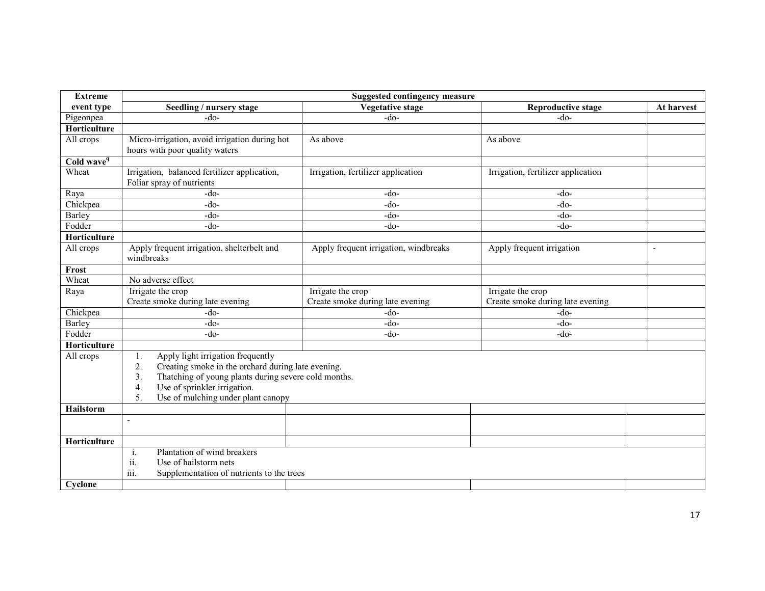| <b>Extreme</b>         | <b>Suggested contingency measure</b>                                                                                                                                                                                                                |                                                       |                                                       |            |
|------------------------|-----------------------------------------------------------------------------------------------------------------------------------------------------------------------------------------------------------------------------------------------------|-------------------------------------------------------|-------------------------------------------------------|------------|
| event type             | Seedling / nursery stage                                                                                                                                                                                                                            | <b>Vegetative stage</b>                               | <b>Reproductive stage</b>                             | At harvest |
| Pigeonpea              | $-do-$                                                                                                                                                                                                                                              | $-do-$                                                | $-do-$                                                |            |
| Horticulture           |                                                                                                                                                                                                                                                     |                                                       |                                                       |            |
| All crops              | Micro-irrigation, avoid irrigation during hot<br>hours with poor quality waters                                                                                                                                                                     | As above                                              | As above                                              |            |
| Cold wave <sup>q</sup> |                                                                                                                                                                                                                                                     |                                                       |                                                       |            |
| Wheat                  | Irrigation, balanced fertilizer application,<br>Foliar spray of nutrients                                                                                                                                                                           | Irrigation, fertilizer application                    | Irrigation, fertilizer application                    |            |
| Raya                   | $-do-$                                                                                                                                                                                                                                              | $-do-$                                                | $-do-$                                                |            |
| Chickpea               | $-do-$                                                                                                                                                                                                                                              | $-do-$                                                | $-do-$                                                |            |
| Barley                 | $-do-$                                                                                                                                                                                                                                              | $-do-$                                                | -do-                                                  |            |
| Fodder                 | $-do-$                                                                                                                                                                                                                                              | $-do-$                                                | -do-                                                  |            |
| Horticulture           |                                                                                                                                                                                                                                                     |                                                       |                                                       |            |
| All crops              | Apply frequent irrigation, shelterbelt and<br>windbreaks                                                                                                                                                                                            | Apply frequent irrigation, windbreaks                 | Apply frequent irrigation                             |            |
| Frost                  |                                                                                                                                                                                                                                                     |                                                       |                                                       |            |
| Wheat                  | No adverse effect                                                                                                                                                                                                                                   |                                                       |                                                       |            |
| Raya                   | Irrigate the crop<br>Create smoke during late evening                                                                                                                                                                                               | Irrigate the crop<br>Create smoke during late evening | Irrigate the crop<br>Create smoke during late evening |            |
| Chickpea               | $-do-$                                                                                                                                                                                                                                              | $-do-$                                                | $-do-$                                                |            |
| Barley                 | $-do-$                                                                                                                                                                                                                                              | $-do-$                                                | -do-                                                  |            |
| Fodder                 | $-do-$                                                                                                                                                                                                                                              | $-do-$                                                | -do-                                                  |            |
| Horticulture           |                                                                                                                                                                                                                                                     |                                                       |                                                       |            |
| All crops              | Apply light irrigation frequently<br>1.<br>Creating smoke in the orchard during late evening.<br>2.<br>Thatching of young plants during severe cold months.<br>3.<br>Use of sprinkler irrigation.<br>4.<br>Use of mulching under plant canopy<br>5. |                                                       |                                                       |            |
| Hailstorm              |                                                                                                                                                                                                                                                     |                                                       |                                                       |            |
|                        | $\overline{\phantom{a}}$                                                                                                                                                                                                                            |                                                       |                                                       |            |
| Horticulture           |                                                                                                                                                                                                                                                     |                                                       |                                                       |            |
| Cyclone                | Plantation of wind breakers<br>$\mathbf{1}$ .<br>ii.<br>Use of hailstorm nets<br>iii.<br>Supplementation of nutrients to the trees                                                                                                                  |                                                       |                                                       |            |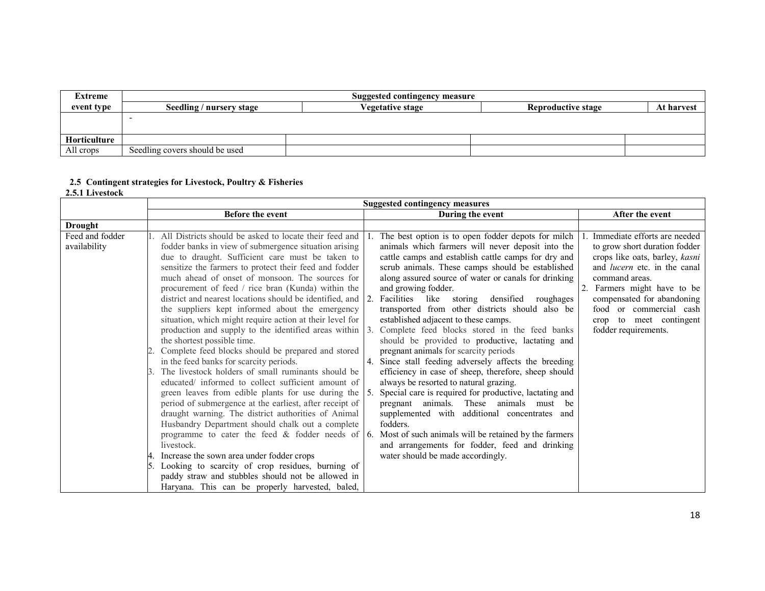| Extreme             | <b>Suggested contingency measure</b> |                         |                           |            |  |  |
|---------------------|--------------------------------------|-------------------------|---------------------------|------------|--|--|
| event type          | Seedling / nursery stage             | <b>Vegetative stage</b> | <b>Reproductive stage</b> | At harvest |  |  |
|                     |                                      |                         |                           |            |  |  |
|                     |                                      |                         |                           |            |  |  |
| <b>Horticulture</b> |                                      |                         |                           |            |  |  |
| All crops           | Seedling covers should be used       |                         |                           |            |  |  |

# 2.5 Contingent strategies for Livestock, Poultry & Fisheries 2.5.1 Livestock

|                                 | <b>Suggested contingency measures</b>                                                                                                                                                                                                                                                                                                                                                                                                                                                                                                                                                                                                                                                                                                                                                                                                                                                                                                                                                                                                                                                                                                                                                                                                                                                       |                                                                                                                                                                                                                                                                                                                                                                                                                                                                                                                                                                                                                                                                                                                                                                                                                                                                                                                                                                                                                                                                                                                              |                                                                                                                                                                                                                                                                                                     |
|---------------------------------|---------------------------------------------------------------------------------------------------------------------------------------------------------------------------------------------------------------------------------------------------------------------------------------------------------------------------------------------------------------------------------------------------------------------------------------------------------------------------------------------------------------------------------------------------------------------------------------------------------------------------------------------------------------------------------------------------------------------------------------------------------------------------------------------------------------------------------------------------------------------------------------------------------------------------------------------------------------------------------------------------------------------------------------------------------------------------------------------------------------------------------------------------------------------------------------------------------------------------------------------------------------------------------------------|------------------------------------------------------------------------------------------------------------------------------------------------------------------------------------------------------------------------------------------------------------------------------------------------------------------------------------------------------------------------------------------------------------------------------------------------------------------------------------------------------------------------------------------------------------------------------------------------------------------------------------------------------------------------------------------------------------------------------------------------------------------------------------------------------------------------------------------------------------------------------------------------------------------------------------------------------------------------------------------------------------------------------------------------------------------------------------------------------------------------------|-----------------------------------------------------------------------------------------------------------------------------------------------------------------------------------------------------------------------------------------------------------------------------------------------------|
|                                 | Before the event                                                                                                                                                                                                                                                                                                                                                                                                                                                                                                                                                                                                                                                                                                                                                                                                                                                                                                                                                                                                                                                                                                                                                                                                                                                                            | During the event                                                                                                                                                                                                                                                                                                                                                                                                                                                                                                                                                                                                                                                                                                                                                                                                                                                                                                                                                                                                                                                                                                             | After the event                                                                                                                                                                                                                                                                                     |
| Drought                         |                                                                                                                                                                                                                                                                                                                                                                                                                                                                                                                                                                                                                                                                                                                                                                                                                                                                                                                                                                                                                                                                                                                                                                                                                                                                                             |                                                                                                                                                                                                                                                                                                                                                                                                                                                                                                                                                                                                                                                                                                                                                                                                                                                                                                                                                                                                                                                                                                                              |                                                                                                                                                                                                                                                                                                     |
| Feed and fodder<br>availability | All Districts should be asked to locate their feed and<br>fodder banks in view of submergence situation arising<br>due to draught. Sufficient care must be taken to<br>sensitize the farmers to protect their feed and fodder<br>much ahead of onset of monsoon. The sources for<br>procurement of feed / rice bran (Kunda) within the<br>district and nearest locations should be identified, and 2. Facilities like<br>the suppliers kept informed about the emergency<br>situation, which might require action at their level for<br>production and supply to the identified areas within<br>the shortest possible time.<br>Complete feed blocks should be prepared and stored<br>in the feed banks for scarcity periods.<br>The livestock holders of small ruminants should be<br>educated/ informed to collect sufficient amount of<br>green leaves from edible plants for use during the<br>period of submergence at the earliest, after receipt of<br>draught warning. The district authorities of Animal<br>Husbandry Department should chalk out a complete<br>livestock.<br>Increase the sown area under fodder crops<br>Looking to scarcity of crop residues, burning of<br>paddy straw and stubbles should not be allowed in<br>Haryana. This can be properly harvested, baled, | The best option is to open fodder depots for milch<br>animals which farmers will never deposit into the<br>cattle camps and establish cattle camps for dry and<br>scrub animals. These camps should be established<br>along assured source of water or canals for drinking<br>and growing fodder.<br>storing<br>densified<br>roughages<br>transported from other districts should also be<br>established adjacent to these camps.<br>3. Complete feed blocks stored in the feed banks<br>should be provided to productive, lactating and<br>pregnant animals for scarcity periods<br>4. Since stall feeding adversely affects the breeding<br>efficiency in case of sheep, therefore, sheep should<br>always be resorted to natural grazing.<br>5. Special care is required for productive, lactating and<br>pregnant animals. These animals must<br>be<br>supplemented with additional concentrates and<br>fodders.<br>programme to cater the feed & fodder needs of $\vert$ 6. Most of such animals will be retained by the farmers<br>and arrangements for fodder, feed and drinking<br>water should be made accordingly. | Immediate efforts are needed<br>to grow short duration fodder<br>crops like oats, barley, kasni<br>and <i>lucern</i> etc. in the canal<br>command areas.<br>2. Farmers might have to be<br>compensated for abandoning<br>food or commercial cash<br>crop to meet contingent<br>fodder requirements. |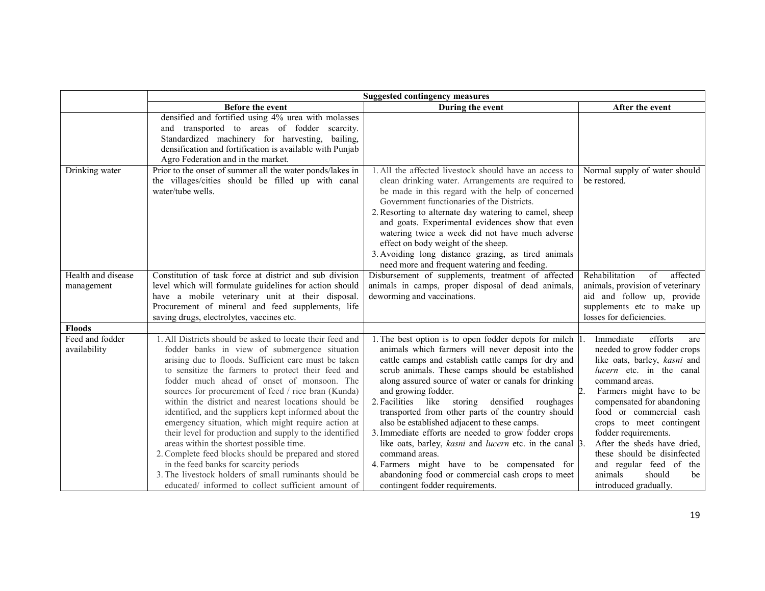|                                  | <b>Suggested contingency measures</b>                                                                                                                                                                                                                                                                                                                                                                                                                                                                                                                                                                                                                                                                                                                                                                                        |                                                                                                                                                                                                                                                                                                                                                                                                                                                                                                                                                                                                                                                                                                                                                      |                                                                                                                                                                                                                                                                                                                                                                                                                                      |  |
|----------------------------------|------------------------------------------------------------------------------------------------------------------------------------------------------------------------------------------------------------------------------------------------------------------------------------------------------------------------------------------------------------------------------------------------------------------------------------------------------------------------------------------------------------------------------------------------------------------------------------------------------------------------------------------------------------------------------------------------------------------------------------------------------------------------------------------------------------------------------|------------------------------------------------------------------------------------------------------------------------------------------------------------------------------------------------------------------------------------------------------------------------------------------------------------------------------------------------------------------------------------------------------------------------------------------------------------------------------------------------------------------------------------------------------------------------------------------------------------------------------------------------------------------------------------------------------------------------------------------------------|--------------------------------------------------------------------------------------------------------------------------------------------------------------------------------------------------------------------------------------------------------------------------------------------------------------------------------------------------------------------------------------------------------------------------------------|--|
|                                  | Before the event                                                                                                                                                                                                                                                                                                                                                                                                                                                                                                                                                                                                                                                                                                                                                                                                             | During the event                                                                                                                                                                                                                                                                                                                                                                                                                                                                                                                                                                                                                                                                                                                                     | After the event                                                                                                                                                                                                                                                                                                                                                                                                                      |  |
|                                  | densified and fortified using 4% urea with molasses<br>and transported to areas of fodder scarcity.<br>Standardized machinery for harvesting, bailing,<br>densification and fortification is available with Punjab<br>Agro Federation and in the market.                                                                                                                                                                                                                                                                                                                                                                                                                                                                                                                                                                     |                                                                                                                                                                                                                                                                                                                                                                                                                                                                                                                                                                                                                                                                                                                                                      |                                                                                                                                                                                                                                                                                                                                                                                                                                      |  |
| Drinking water                   | Prior to the onset of summer all the water ponds/lakes in<br>the villages/cities should be filled up with canal<br>water/tube wells.                                                                                                                                                                                                                                                                                                                                                                                                                                                                                                                                                                                                                                                                                         | 1. All the affected livestock should have an access to<br>clean drinking water. Arrangements are required to<br>be made in this regard with the help of concerned<br>Government functionaries of the Districts.<br>2. Resorting to alternate day watering to camel, sheep<br>and goats. Experimental evidences show that even<br>watering twice a week did not have much adverse<br>effect on body weight of the sheep.<br>3. Avoiding long distance grazing, as tired animals<br>need more and frequent watering and feeding.                                                                                                                                                                                                                       | Normal supply of water should<br>be restored.                                                                                                                                                                                                                                                                                                                                                                                        |  |
| Health and disease<br>management | Constitution of task force at district and sub division<br>level which will formulate guidelines for action should<br>have a mobile veterinary unit at their disposal.<br>Procurement of mineral and feed supplements, life<br>saving drugs, electrolytes, vaccines etc.                                                                                                                                                                                                                                                                                                                                                                                                                                                                                                                                                     | Disbursement of supplements, treatment of affected<br>animals in camps, proper disposal of dead animals,<br>deworming and vaccinations.                                                                                                                                                                                                                                                                                                                                                                                                                                                                                                                                                                                                              | Rehabilitation<br>of<br>affected<br>animals, provision of veterinary<br>aid and follow up, provide<br>supplements etc to make up<br>losses for deficiencies.                                                                                                                                                                                                                                                                         |  |
| <b>Floods</b>                    |                                                                                                                                                                                                                                                                                                                                                                                                                                                                                                                                                                                                                                                                                                                                                                                                                              |                                                                                                                                                                                                                                                                                                                                                                                                                                                                                                                                                                                                                                                                                                                                                      |                                                                                                                                                                                                                                                                                                                                                                                                                                      |  |
| Feed and fodder<br>availability  | 1. All Districts should be asked to locate their feed and<br>fodder banks in view of submergence situation<br>arising due to floods. Sufficient care must be taken<br>to sensitize the farmers to protect their feed and<br>fodder much ahead of onset of monsoon. The<br>sources for procurement of feed / rice bran (Kunda)<br>within the district and nearest locations should be<br>identified, and the suppliers kept informed about the<br>emergency situation, which might require action at<br>their level for production and supply to the identified<br>areas within the shortest possible time.<br>2. Complete feed blocks should be prepared and stored<br>in the feed banks for scarcity periods<br>3. The livestock holders of small ruminants should be<br>educated/ informed to collect sufficient amount of | 1. The best option is to open fodder depots for milch 1.<br>animals which farmers will never deposit into the<br>cattle camps and establish cattle camps for dry and<br>scrub animals. These camps should be established<br>along assured source of water or canals for drinking<br>and growing fodder.<br>2. Facilities<br>like storing<br>densified<br>roughages<br>transported from other parts of the country should<br>also be established adjacent to these camps.<br>3. Immediate efforts are needed to grow fodder crops<br>like oats, barley, kasni and lucern etc. in the canal 3.<br>command areas.<br>4. Farmers might have to be compensated for<br>abandoning food or commercial cash crops to meet<br>contingent fodder requirements. | Immediate<br>efforts<br>are<br>needed to grow fodder crops<br>like oats, barley, kasni and<br>lucern etc. in the canal<br>command areas.<br>2.<br>Farmers might have to be<br>compensated for abandoning<br>food or commercial cash<br>crops to meet contingent<br>fodder requirements.<br>After the sheds have dried,<br>these should be disinfected<br>and regular feed of the<br>animals<br>should<br>be<br>introduced gradually. |  |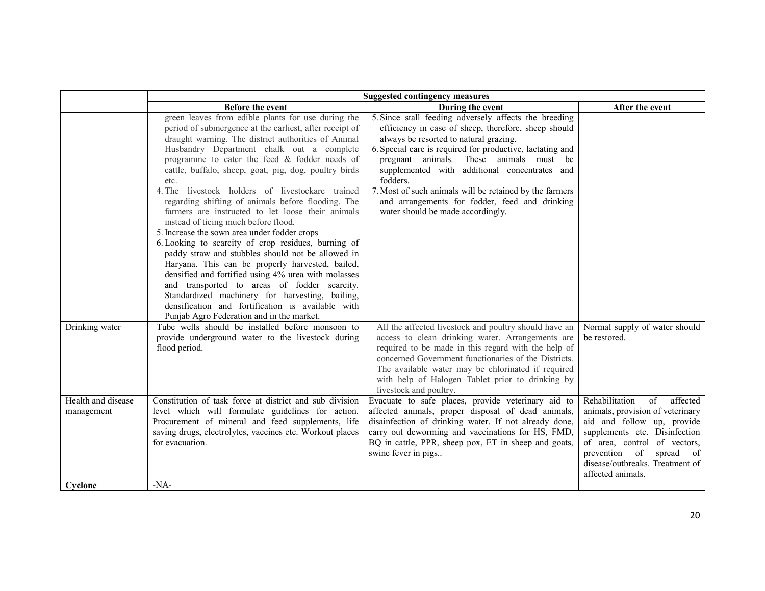|                                  | <b>Suggested contingency measures</b>                                                                                                                                                                                                                                                                                                                                                                                                                                                                                                                                                                                                                                                                                                                                                                                                                                                                                                                                                                                  |                                                                                                                                                                                                                                                                                                                                                                                                                                                                                |                                                                                                                                                                                                                                                           |
|----------------------------------|------------------------------------------------------------------------------------------------------------------------------------------------------------------------------------------------------------------------------------------------------------------------------------------------------------------------------------------------------------------------------------------------------------------------------------------------------------------------------------------------------------------------------------------------------------------------------------------------------------------------------------------------------------------------------------------------------------------------------------------------------------------------------------------------------------------------------------------------------------------------------------------------------------------------------------------------------------------------------------------------------------------------|--------------------------------------------------------------------------------------------------------------------------------------------------------------------------------------------------------------------------------------------------------------------------------------------------------------------------------------------------------------------------------------------------------------------------------------------------------------------------------|-----------------------------------------------------------------------------------------------------------------------------------------------------------------------------------------------------------------------------------------------------------|
|                                  | Before the event                                                                                                                                                                                                                                                                                                                                                                                                                                                                                                                                                                                                                                                                                                                                                                                                                                                                                                                                                                                                       | During the event                                                                                                                                                                                                                                                                                                                                                                                                                                                               | After the event                                                                                                                                                                                                                                           |
|                                  | green leaves from edible plants for use during the<br>period of submergence at the earliest, after receipt of<br>draught warning. The district authorities of Animal<br>Husbandry Department chalk out a complete<br>programme to cater the feed & fodder needs of<br>cattle, buffalo, sheep, goat, pig, dog, poultry birds<br>etc.<br>4. The livestock holders of livestockare trained<br>regarding shifting of animals before flooding. The<br>farmers are instructed to let loose their animals<br>instead of tieing much before flood.<br>5. Increase the sown area under fodder crops<br>6. Looking to scarcity of crop residues, burning of<br>paddy straw and stubbles should not be allowed in<br>Haryana. This can be properly harvested, bailed,<br>densified and fortified using 4% urea with molasses<br>and transported to areas of fodder scarcity.<br>Standardized machinery for harvesting, bailing,<br>densification and fortification is available with<br>Punjab Agro Federation and in the market. | 5. Since stall feeding adversely affects the breeding<br>efficiency in case of sheep, therefore, sheep should<br>always be resorted to natural grazing.<br>6. Special care is required for productive, lactating and<br>pregnant animals. These animals must be<br>supplemented with additional concentrates and<br>fodders.<br>7. Most of such animals will be retained by the farmers<br>and arrangements for fodder, feed and drinking<br>water should be made accordingly. |                                                                                                                                                                                                                                                           |
| Drinking water                   | Tube wells should be installed before monsoon to<br>provide underground water to the livestock during<br>flood period.                                                                                                                                                                                                                                                                                                                                                                                                                                                                                                                                                                                                                                                                                                                                                                                                                                                                                                 | All the affected livestock and poultry should have an<br>access to clean drinking water. Arrangements are<br>required to be made in this regard with the help of<br>concerned Government functionaries of the Districts.<br>The available water may be chlorinated if required<br>with help of Halogen Tablet prior to drinking by<br>livestock and poultry.                                                                                                                   | Normal supply of water should<br>be restored.                                                                                                                                                                                                             |
| Health and disease<br>management | Constitution of task force at district and sub division<br>level which will formulate guidelines for action.<br>Procurement of mineral and feed supplements, life<br>saving drugs, electrolytes, vaccines etc. Workout places<br>for evacuation.                                                                                                                                                                                                                                                                                                                                                                                                                                                                                                                                                                                                                                                                                                                                                                       | Evacuate to safe places, provide veterinary aid to<br>affected animals, proper disposal of dead animals,<br>disainfection of drinking water. If not already done,<br>carry out deworming and vaccinations for HS, FMD,<br>BQ in cattle, PPR, sheep pox, ET in sheep and goats,<br>swine fever in pigs                                                                                                                                                                          | Rehabilitation<br>affected<br>of<br>animals, provision of veterinary<br>aid and follow up, provide<br>supplements etc. Disinfection<br>of area, control of vectors,<br>prevention of<br>spread of<br>disease/outbreaks. Treatment of<br>affected animals. |
| Cyclone                          | $-NA-$                                                                                                                                                                                                                                                                                                                                                                                                                                                                                                                                                                                                                                                                                                                                                                                                                                                                                                                                                                                                                 |                                                                                                                                                                                                                                                                                                                                                                                                                                                                                |                                                                                                                                                                                                                                                           |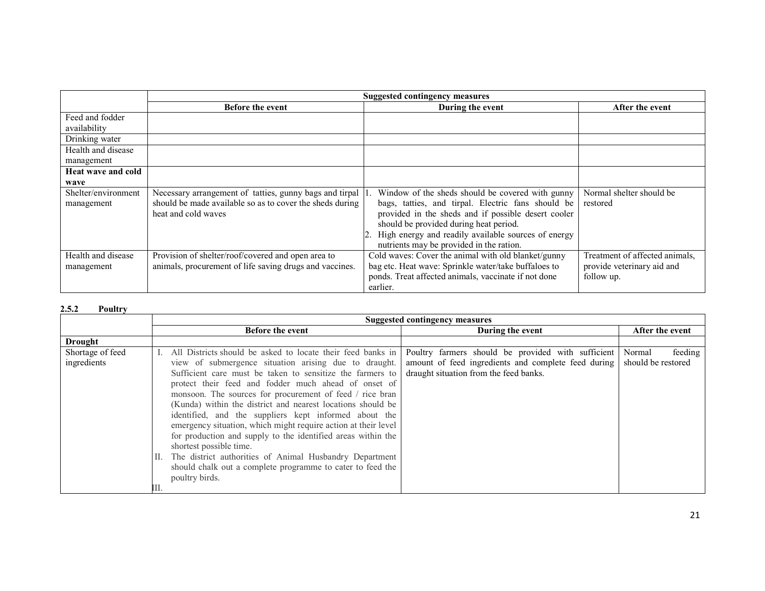|                     |                                                            | <b>Suggested contingency measures</b>                  |                                |  |
|---------------------|------------------------------------------------------------|--------------------------------------------------------|--------------------------------|--|
|                     | <b>Before the event</b>                                    | During the event                                       | After the event                |  |
| Feed and fodder     |                                                            |                                                        |                                |  |
| availability        |                                                            |                                                        |                                |  |
| Drinking water      |                                                            |                                                        |                                |  |
| Health and disease  |                                                            |                                                        |                                |  |
| management          |                                                            |                                                        |                                |  |
| Heat wave and cold  |                                                            |                                                        |                                |  |
| wave                |                                                            |                                                        |                                |  |
| Shelter/environment | Necessary arrangement of tatties, gunny bags and tirpal  1 | Window of the sheds should be covered with gunny       | Normal shelter should be       |  |
| management          | should be made available so as to cover the sheds during   | bags, tatties, and tirpal. Electric fans should be     | restored                       |  |
|                     | heat and cold waves                                        | provided in the sheds and if possible desert cooler    |                                |  |
|                     |                                                            | should be provided during heat period.                 |                                |  |
|                     |                                                            | 2. High energy and readily available sources of energy |                                |  |
|                     |                                                            | nutrients may be provided in the ration.               |                                |  |
| Health and disease  | Provision of shelter/roof/covered and open area to         | Cold waves: Cover the animal with old blanket/gunny    | Treatment of affected animals, |  |
| management          | animals, procurement of life saving drugs and vaccines.    | bag etc. Heat wave: Sprinkle water/take buffaloes to   | provide veterinary aid and     |  |
|                     |                                                            | ponds. Treat affected animals, vaccinate if not done   | follow up.                     |  |
|                     |                                                            | earlier.                                               |                                |  |

#### 2.5.2Poultry

|                                 | <b>Suggested contingency measures</b>                                                                                                                                                                                                                                                                                                                                                                                                                                                                                                                                                                                                                                                                                   |                                                                                                                                                     |                                         |  |  |
|---------------------------------|-------------------------------------------------------------------------------------------------------------------------------------------------------------------------------------------------------------------------------------------------------------------------------------------------------------------------------------------------------------------------------------------------------------------------------------------------------------------------------------------------------------------------------------------------------------------------------------------------------------------------------------------------------------------------------------------------------------------------|-----------------------------------------------------------------------------------------------------------------------------------------------------|-----------------------------------------|--|--|
|                                 | <b>Before the event</b>                                                                                                                                                                                                                                                                                                                                                                                                                                                                                                                                                                                                                                                                                                 | During the event                                                                                                                                    | After the event                         |  |  |
| <b>Drought</b>                  |                                                                                                                                                                                                                                                                                                                                                                                                                                                                                                                                                                                                                                                                                                                         |                                                                                                                                                     |                                         |  |  |
| Shortage of feed<br>ingredients | All Districts should be asked to locate their feed banks in<br>view of submergence situation arising due to draught.<br>Sufficient care must be taken to sensitize the farmers to<br>protect their feed and fodder much ahead of onset of<br>monsoon. The sources for procurement of feed / rice bran<br>(Kunda) within the district and nearest locations should be<br>identified, and the suppliers kept informed about the<br>emergency situation, which might require action at their level<br>for production and supply to the identified areas within the<br>shortest possible time.<br>II. The district authorities of Animal Husbandry Department<br>should chalk out a complete programme to cater to feed the | Poultry farmers should be provided with sufficient<br>amount of feed ingredients and complete feed during<br>draught situation from the feed banks. | Normal<br>feeding<br>should be restored |  |  |
|                                 | poultry birds.                                                                                                                                                                                                                                                                                                                                                                                                                                                                                                                                                                                                                                                                                                          |                                                                                                                                                     |                                         |  |  |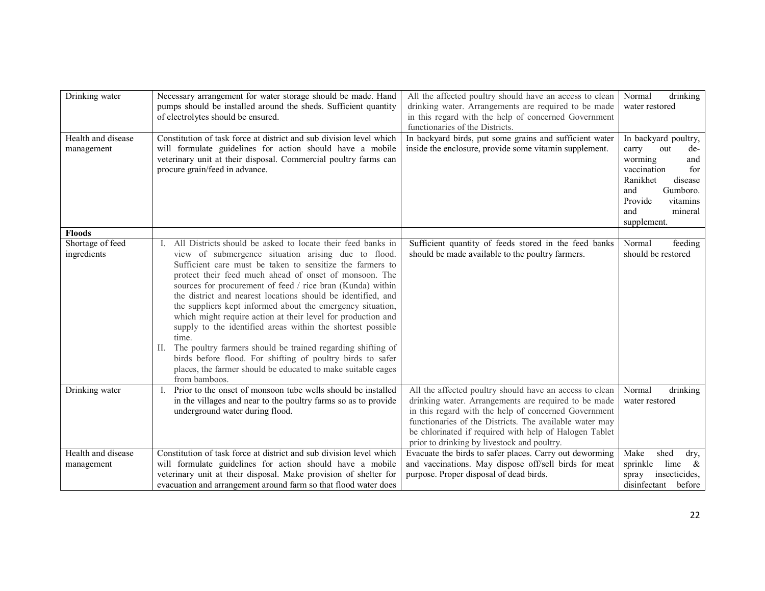| Drinking water                   | Necessary arrangement for water storage should be made. Hand<br>pumps should be installed around the sheds. Sufficient quantity<br>of electrolytes should be ensured.                                                                                                                                                                                                                                                                                                                                 | All the affected poultry should have an access to clean<br>drinking water. Arrangements are required to be made<br>in this regard with the help of concerned Government                                                                                                                                                                     | drinking<br>Normal<br>water restored        |
|----------------------------------|-------------------------------------------------------------------------------------------------------------------------------------------------------------------------------------------------------------------------------------------------------------------------------------------------------------------------------------------------------------------------------------------------------------------------------------------------------------------------------------------------------|---------------------------------------------------------------------------------------------------------------------------------------------------------------------------------------------------------------------------------------------------------------------------------------------------------------------------------------------|---------------------------------------------|
|                                  |                                                                                                                                                                                                                                                                                                                                                                                                                                                                                                       | functionaries of the Districts.                                                                                                                                                                                                                                                                                                             |                                             |
| Health and disease<br>management | Constitution of task force at district and sub division level which<br>will formulate guidelines for action should have a mobile                                                                                                                                                                                                                                                                                                                                                                      | In backyard birds, put some grains and sufficient water<br>inside the enclosure, provide some vitamin supplement.                                                                                                                                                                                                                           | In backyard poultry,<br>carry<br>out<br>de- |
|                                  | veterinary unit at their disposal. Commercial poultry farms can<br>procure grain/feed in advance.                                                                                                                                                                                                                                                                                                                                                                                                     |                                                                                                                                                                                                                                                                                                                                             | worming<br>and<br>vaccination<br>for        |
|                                  |                                                                                                                                                                                                                                                                                                                                                                                                                                                                                                       |                                                                                                                                                                                                                                                                                                                                             | Ranikhet<br>disease<br>Gumboro.<br>and      |
|                                  |                                                                                                                                                                                                                                                                                                                                                                                                                                                                                                       |                                                                                                                                                                                                                                                                                                                                             | Provide<br>vitamins                         |
|                                  |                                                                                                                                                                                                                                                                                                                                                                                                                                                                                                       |                                                                                                                                                                                                                                                                                                                                             | mineral<br>and<br>supplement.               |
| <b>Floods</b>                    |                                                                                                                                                                                                                                                                                                                                                                                                                                                                                                       |                                                                                                                                                                                                                                                                                                                                             |                                             |
| Shortage of feed<br>ingredients  | All Districts should be asked to locate their feed banks in<br>view of submergence situation arising due to flood.<br>Sufficient care must be taken to sensitize the farmers to<br>protect their feed much ahead of onset of monsoon. The<br>sources for procurement of feed / rice bran (Kunda) within<br>the district and nearest locations should be identified, and<br>the suppliers kept informed about the emergency situation,<br>which might require action at their level for production and | Sufficient quantity of feeds stored in the feed banks<br>should be made available to the poultry farmers.                                                                                                                                                                                                                                   | Normal<br>feeding<br>should be restored     |
|                                  | supply to the identified areas within the shortest possible<br>time.<br>The poultry farmers should be trained regarding shifting of<br>П.<br>birds before flood. For shifting of poultry birds to safer<br>places, the farmer should be educated to make suitable cages<br>from bamboos.                                                                                                                                                                                                              |                                                                                                                                                                                                                                                                                                                                             |                                             |
| Drinking water                   | Prior to the onset of monsoon tube wells should be installed<br>in the villages and near to the poultry farms so as to provide<br>underground water during flood.                                                                                                                                                                                                                                                                                                                                     | All the affected poultry should have an access to clean<br>drinking water. Arrangements are required to be made<br>in this regard with the help of concerned Government<br>functionaries of the Districts. The available water may<br>be chlorinated if required with help of Halogen Tablet<br>prior to drinking by livestock and poultry. | Normal<br>drinking<br>water restored        |
| Health and disease               | Constitution of task force at district and sub division level which                                                                                                                                                                                                                                                                                                                                                                                                                                   | Evacuate the birds to safer places. Carry out deworming                                                                                                                                                                                                                                                                                     | Make<br>shed<br>dry,                        |
| management                       | will formulate guidelines for action should have a mobile                                                                                                                                                                                                                                                                                                                                                                                                                                             | and vaccinations. May dispose off/sell birds for meat                                                                                                                                                                                                                                                                                       | sprinkle<br>lime<br>$\alpha$                |
|                                  | veterinary unit at their disposal. Make provision of shelter for                                                                                                                                                                                                                                                                                                                                                                                                                                      | purpose. Proper disposal of dead birds.                                                                                                                                                                                                                                                                                                     | insecticides,<br>spray                      |
|                                  | evacuation and arrangement around farm so that flood water does                                                                                                                                                                                                                                                                                                                                                                                                                                       |                                                                                                                                                                                                                                                                                                                                             | disinfectant<br>before                      |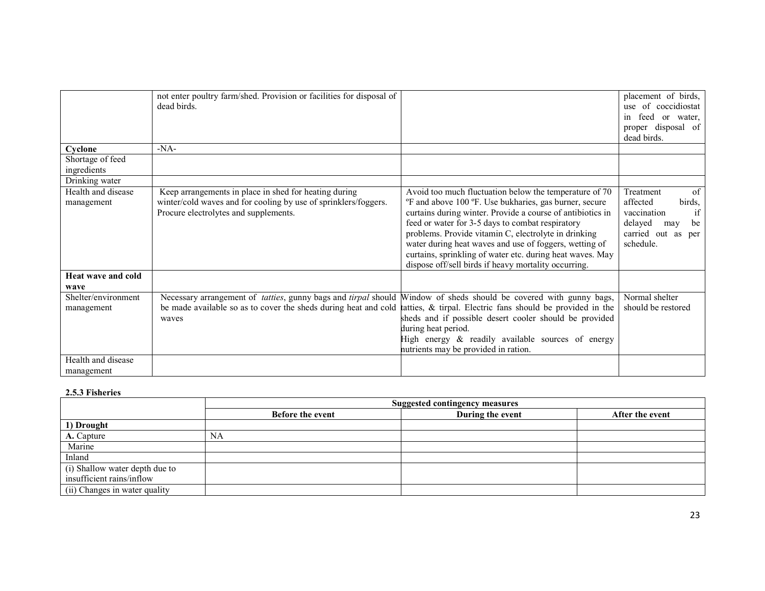|                     | not enter poultry farm/shed. Provision or facilities for disposal of |                                                                    | placement of birds,  |
|---------------------|----------------------------------------------------------------------|--------------------------------------------------------------------|----------------------|
|                     | dead birds.                                                          |                                                                    | use of coccidiostat  |
|                     |                                                                      |                                                                    | feed or water,<br>in |
|                     |                                                                      |                                                                    | proper disposal of   |
|                     |                                                                      |                                                                    | dead birds.          |
| Cyclone             | $-NA-$                                                               |                                                                    |                      |
| Shortage of feed    |                                                                      |                                                                    |                      |
| ingredients         |                                                                      |                                                                    |                      |
| Drinking water      |                                                                      |                                                                    |                      |
| Health and disease  | Keep arrangements in place in shed for heating during                | Avoid too much fluctuation below the temperature of 70             | Treatment<br>of      |
| management          | winter/cold waves and for cooling by use of sprinklers/foggers.      | <sup>o</sup> F and above 100 °F. Use bukharies, gas burner, secure | affected<br>birds,   |
|                     | Procure electrolytes and supplements.                                | curtains during winter. Provide a course of antibiotics in         | if<br>vaccination    |
|                     |                                                                      | feed or water for 3-5 days to combat respiratory                   | delayed<br>be<br>may |
|                     |                                                                      | problems. Provide vitamin C, electrolyte in drinking               | carried out as per   |
|                     |                                                                      | water during heat waves and use of foggers, wetting of             | schedule.            |
|                     |                                                                      | curtains, sprinkling of water etc. during heat waves. May          |                      |
|                     |                                                                      | dispose off/sell birds if heavy mortality occurring.               |                      |
| Heat wave and cold  |                                                                      |                                                                    |                      |
| wave                |                                                                      |                                                                    |                      |
| Shelter/environment | Necessary arrangement of tatties, gunny bags and tirpal should       | Window of sheds should be covered with gunny bags,                 | Normal shelter       |
| management          | be made available so as to cover the sheds during heat and cold      | tatties, & tirpal. Electric fans should be provided in the         | should be restored   |
|                     | waves                                                                | sheds and if possible desert cooler should be provided             |                      |
|                     |                                                                      | during heat period.                                                |                      |
|                     |                                                                      | High energy & readily available sources of energy                  |                      |
|                     |                                                                      | nutrients may be provided in ration.                               |                      |
| Health and disease  |                                                                      |                                                                    |                      |
| management          |                                                                      |                                                                    |                      |
|                     |                                                                      |                                                                    |                      |

### 2.5.3 Fisheries

|                                | <b>Suggested contingency measures</b> |                  |                 |  |
|--------------------------------|---------------------------------------|------------------|-----------------|--|
|                                | <b>Before the event</b>               | During the event | After the event |  |
| 1) Drought                     |                                       |                  |                 |  |
| A. Capture                     | NA                                    |                  |                 |  |
| Marine                         |                                       |                  |                 |  |
| Inland                         |                                       |                  |                 |  |
| (i) Shallow water depth due to |                                       |                  |                 |  |
| insufficient rains/inflow      |                                       |                  |                 |  |
| (ii) Changes in water quality  |                                       |                  |                 |  |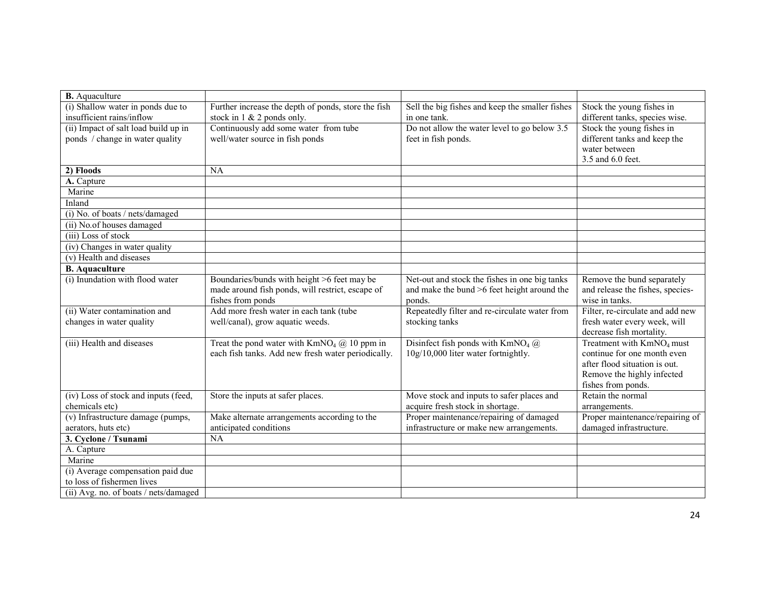| <b>B.</b> Aquaculture                 |                                                          |                                                  |                                       |
|---------------------------------------|----------------------------------------------------------|--------------------------------------------------|---------------------------------------|
| (i) Shallow water in ponds due to     | Further increase the depth of ponds, store the fish      | Sell the big fishes and keep the smaller fishes  | Stock the young fishes in             |
| insufficient rains/inflow             | stock in $1 \& 2$ ponds only.                            | in one tank.                                     | different tanks, species wise.        |
| (ii) Impact of salt load build up in  | Continuously add some water from tube                    | Do not allow the water level to go below 3.5     | Stock the young fishes in             |
| ponds / change in water quality       | well/water source in fish ponds                          | feet in fish ponds.                              | different tanks and keep the          |
|                                       |                                                          |                                                  | water between                         |
|                                       |                                                          |                                                  | 3.5 and 6.0 feet.                     |
| 2) Floods                             | <b>NA</b>                                                |                                                  |                                       |
| A. Capture                            |                                                          |                                                  |                                       |
| Marine                                |                                                          |                                                  |                                       |
| Inland                                |                                                          |                                                  |                                       |
| (i) No. of boats / nets/damaged       |                                                          |                                                  |                                       |
| (ii) No.of houses damaged             |                                                          |                                                  |                                       |
| $(iii)$ Loss of stock                 |                                                          |                                                  |                                       |
| (iv) Changes in water quality         |                                                          |                                                  |                                       |
| (v) Health and diseases               |                                                          |                                                  |                                       |
| <b>B.</b> Aquaculture                 |                                                          |                                                  |                                       |
| (i) Inundation with flood water       | Boundaries/bunds with height >6 feet may be              | Net-out and stock the fishes in one big tanks    | Remove the bund separately            |
|                                       | made around fish ponds, will restrict, escape of         | and make the bund >6 feet height around the      | and release the fishes, species-      |
|                                       | fishes from ponds                                        | ponds.                                           | wise in tanks.                        |
| (ii) Water contamination and          | Add more fresh water in each tank (tube                  | Repeatedly filter and re-circulate water from    | Filter, re-circulate and add new      |
| changes in water quality              | well/canal), grow aquatic weeds.                         | stocking tanks                                   | fresh water every week, will          |
|                                       |                                                          |                                                  | decrease fish mortality.              |
| (iii) Health and diseases             | Treat the pond water with $KmNO4$ ( $\omega$ ) 10 ppm in | Disinfect fish ponds with $KmNO4$ ( $\ddot{a}$ ) | Treatment with KmNO <sub>4</sub> must |
|                                       | each fish tanks. Add new fresh water periodically.       | 10g/10,000 liter water fortnightly.              | continue for one month even           |
|                                       |                                                          |                                                  | after flood situation is out.         |
|                                       |                                                          |                                                  | Remove the highly infected            |
|                                       |                                                          |                                                  | fishes from ponds.                    |
| (iv) Loss of stock and inputs (feed,  | Store the inputs at safer places.                        | Move stock and inputs to safer places and        | Retain the normal                     |
| chemicals etc)                        |                                                          | acquire fresh stock in shortage.                 | arrangements.                         |
| (v) Infrastructure damage (pumps,     | Make alternate arrangements according to the             | Proper maintenance/repairing of damaged          | Proper maintenance/repairing of       |
| aerators, huts etc)                   | anticipated conditions                                   | infrastructure or make new arrangements.         | damaged infrastructure.               |
| 3. Cyclone / Tsunami                  | <b>NA</b>                                                |                                                  |                                       |
| A. Capture                            |                                                          |                                                  |                                       |
| Marine                                |                                                          |                                                  |                                       |
| (i) Average compensation paid due     |                                                          |                                                  |                                       |
| to loss of fishermen lives            |                                                          |                                                  |                                       |
| (ii) Avg. no. of boats / nets/damaged |                                                          |                                                  |                                       |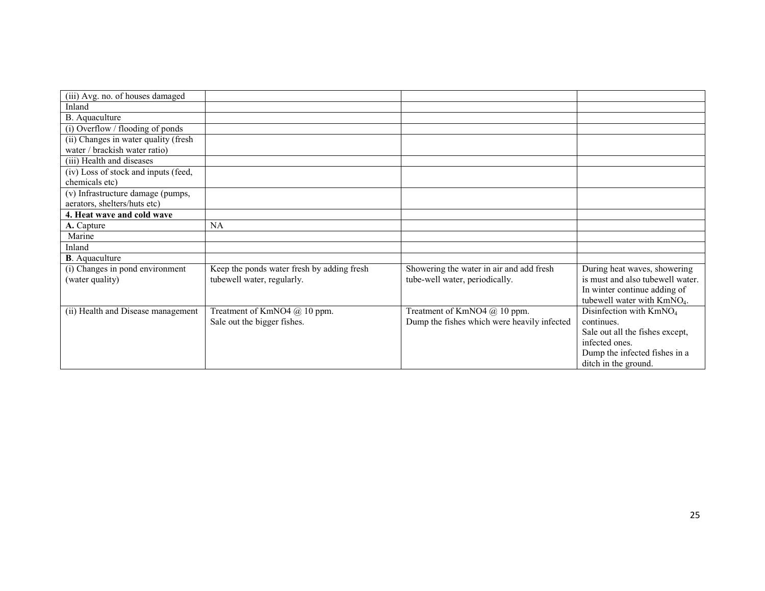| (iii) Avg. no. of houses damaged     |                                            |                                             |                                         |
|--------------------------------------|--------------------------------------------|---------------------------------------------|-----------------------------------------|
| Inland                               |                                            |                                             |                                         |
| B. Aquaculture                       |                                            |                                             |                                         |
| (i) Overflow / flooding of ponds     |                                            |                                             |                                         |
| (ii) Changes in water quality (fresh |                                            |                                             |                                         |
| water / brackish water ratio)        |                                            |                                             |                                         |
| (iii) Health and diseases            |                                            |                                             |                                         |
| (iv) Loss of stock and inputs (feed, |                                            |                                             |                                         |
| chemicals etc)                       |                                            |                                             |                                         |
| (v) Infrastructure damage (pumps,    |                                            |                                             |                                         |
| aerators, shelters/huts etc)         |                                            |                                             |                                         |
| 4. Heat wave and cold wave           |                                            |                                             |                                         |
| A. Capture                           | <b>NA</b>                                  |                                             |                                         |
| Marine                               |                                            |                                             |                                         |
| Inland                               |                                            |                                             |                                         |
| <b>B.</b> Aquaculture                |                                            |                                             |                                         |
| (i) Changes in pond environment      | Keep the ponds water fresh by adding fresh | Showering the water in air and add fresh    | During heat waves, showering            |
| (water quality)                      | tubewell water, regularly.                 | tube-well water, periodically.              | is must and also tubewell water.        |
|                                      |                                            |                                             | In winter continue adding of            |
|                                      |                                            |                                             | tubewell water with KmNO <sub>4</sub> . |
| (ii) Health and Disease management   | Treatment of KmNO4 @ 10 ppm.               | Treatment of KmNO4 @ 10 ppm.                | Disinfection with KmNO <sub>4</sub>     |
|                                      | Sale out the bigger fishes.                | Dump the fishes which were heavily infected | continues.                              |
|                                      |                                            |                                             | Sale out all the fishes except,         |
|                                      |                                            |                                             | infected ones.                          |
|                                      |                                            |                                             | Dump the infected fishes in a           |
|                                      |                                            |                                             | ditch in the ground.                    |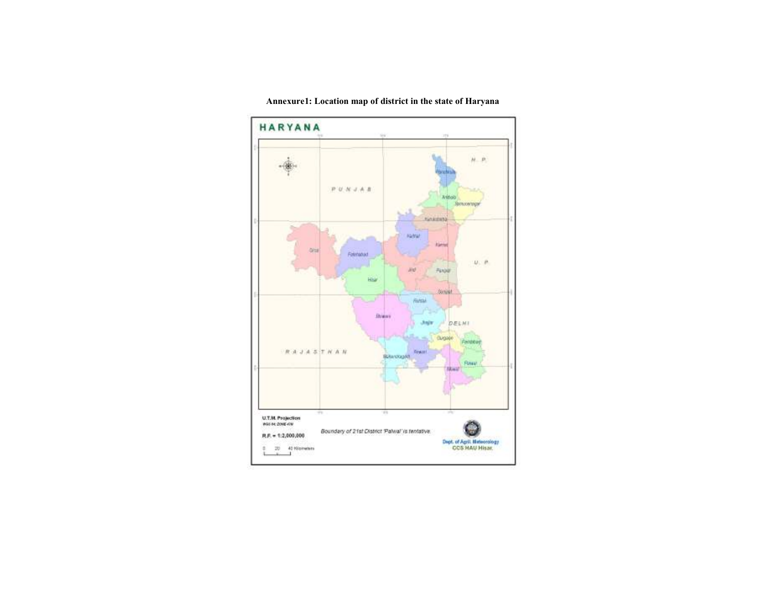

Annexure1: Location map of district in the state of Haryana